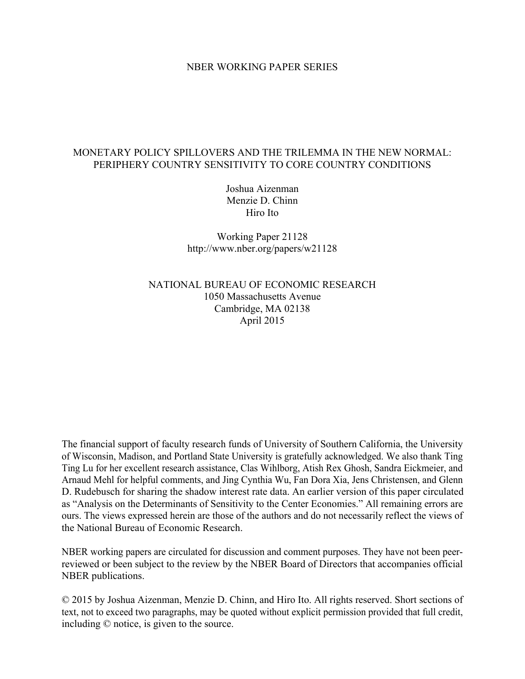#### NBER WORKING PAPER SERIES

# MONETARY POLICY SPILLOVERS AND THE TRILEMMA IN THE NEW NORMAL: PERIPHERY COUNTRY SENSITIVITY TO CORE COUNTRY CONDITIONS

Joshua Aizenman Menzie D. Chinn Hiro Ito

Working Paper 21128 http://www.nber.org/papers/w21128

NATIONAL BUREAU OF ECONOMIC RESEARCH 1050 Massachusetts Avenue Cambridge, MA 02138 April 2015

The financial support of faculty research funds of University of Southern California, the University of Wisconsin, Madison, and Portland State University is gratefully acknowledged. We also thank Ting Ting Lu for her excellent research assistance, Clas Wihlborg, Atish Rex Ghosh, Sandra Eickmeier, and Arnaud Mehl for helpful comments, and Jing Cynthia Wu, Fan Dora Xia, Jens Christensen, and Glenn D. Rudebusch for sharing the shadow interest rate data. An earlier version of this paper circulated as "Analysis on the Determinants of Sensitivity to the Center Economies." All remaining errors are ours. The views expressed herein are those of the authors and do not necessarily reflect the views of the National Bureau of Economic Research.

NBER working papers are circulated for discussion and comment purposes. They have not been peerreviewed or been subject to the review by the NBER Board of Directors that accompanies official NBER publications.

© 2015 by Joshua Aizenman, Menzie D. Chinn, and Hiro Ito. All rights reserved. Short sections of text, not to exceed two paragraphs, may be quoted without explicit permission provided that full credit, including © notice, is given to the source.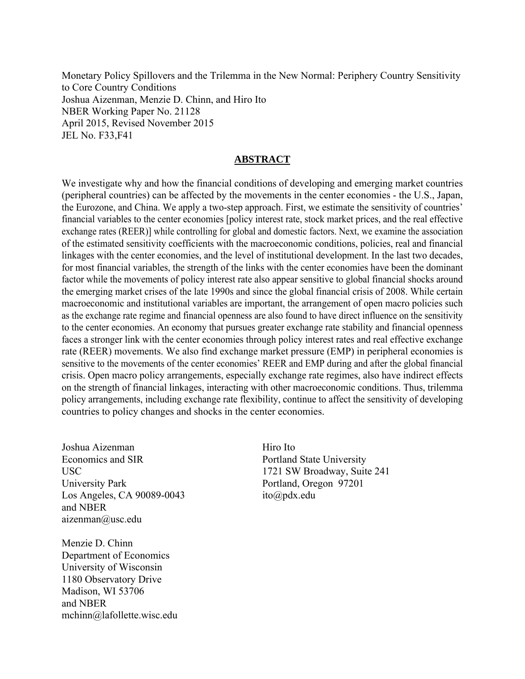Monetary Policy Spillovers and the Trilemma in the New Normal: Periphery Country Sensitivity to Core Country Conditions Joshua Aizenman, Menzie D. Chinn, and Hiro Ito NBER Working Paper No. 21128 April 2015, Revised November 2015 JEL No. F33,F41

# **ABSTRACT**

We investigate why and how the financial conditions of developing and emerging market countries (peripheral countries) can be affected by the movements in the center economies - the U.S., Japan, the Eurozone, and China. We apply a two-step approach. First, we estimate the sensitivity of countries' financial variables to the center economies [policy interest rate, stock market prices, and the real effective exchange rates (REER)] while controlling for global and domestic factors. Next, we examine the association of the estimated sensitivity coefficients with the macroeconomic conditions, policies, real and financial linkages with the center economies, and the level of institutional development. In the last two decades, for most financial variables, the strength of the links with the center economies have been the dominant factor while the movements of policy interest rate also appear sensitive to global financial shocks around the emerging market crises of the late 1990s and since the global financial crisis of 2008. While certain macroeconomic and institutional variables are important, the arrangement of open macro policies such as the exchange rate regime and financial openness are also found to have direct influence on the sensitivity to the center economies. An economy that pursues greater exchange rate stability and financial openness faces a stronger link with the center economies through policy interest rates and real effective exchange rate (REER) movements. We also find exchange market pressure (EMP) in peripheral economies is sensitive to the movements of the center economies' REER and EMP during and after the global financial crisis. Open macro policy arrangements, especially exchange rate regimes, also have indirect effects on the strength of financial linkages, interacting with other macroeconomic conditions. Thus, trilemma policy arrangements, including exchange rate flexibility, continue to affect the sensitivity of developing countries to policy changes and shocks in the center economies.

Joshua Aizenman Economics and SIR **USC** University Park Los Angeles, CA 90089-0043 and NBER aizenman@usc.edu

Menzie D. Chinn Department of Economics University of Wisconsin 1180 Observatory Drive Madison, WI 53706 and NBER mchinn@lafollette.wisc.edu Hiro Ito Portland State University 1721 SW Broadway, Suite 241 Portland, Oregon 97201 ito@pdx.edu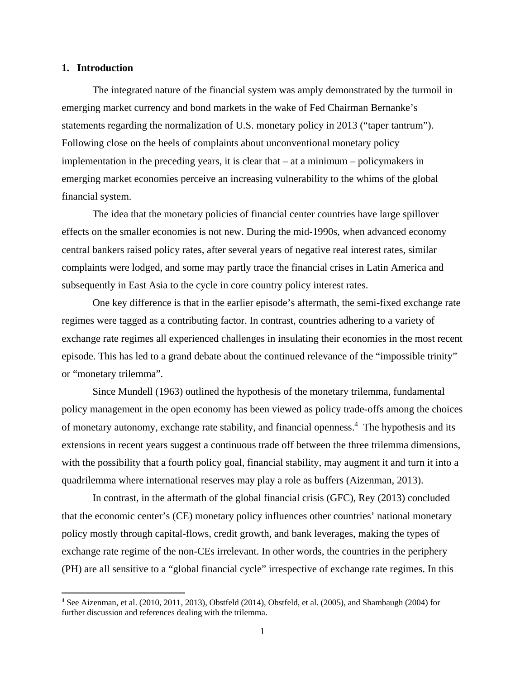#### **1. Introduction**

The integrated nature of the financial system was amply demonstrated by the turmoil in emerging market currency and bond markets in the wake of Fed Chairman Bernanke's statements regarding the normalization of U.S. monetary policy in 2013 ("taper tantrum"). Following close on the heels of complaints about unconventional monetary policy implementation in the preceding years, it is clear that – at a minimum – policymakers in emerging market economies perceive an increasing vulnerability to the whims of the global financial system.

The idea that the monetary policies of financial center countries have large spillover effects on the smaller economies is not new. During the mid-1990s, when advanced economy central bankers raised policy rates, after several years of negative real interest rates, similar complaints were lodged, and some may partly trace the financial crises in Latin America and subsequently in East Asia to the cycle in core country policy interest rates.

One key difference is that in the earlier episode's aftermath, the semi-fixed exchange rate regimes were tagged as a contributing factor. In contrast, countries adhering to a variety of exchange rate regimes all experienced challenges in insulating their economies in the most recent episode. This has led to a grand debate about the continued relevance of the "impossible trinity" or "monetary trilemma".

Since Mundell (1963) outlined the hypothesis of the monetary trilemma, fundamental policy management in the open economy has been viewed as policy trade-offs among the choices of monetary autonomy, exchange rate stability, and financial openness.<sup>4</sup> The hypothesis and its extensions in recent years suggest a continuous trade off between the three trilemma dimensions, with the possibility that a fourth policy goal, financial stability, may augment it and turn it into a quadrilemma where international reserves may play a role as buffers (Aizenman, 2013).

In contrast, in the aftermath of the global financial crisis (GFC), Rey (2013) concluded that the economic center's (CE) monetary policy influences other countries' national monetary policy mostly through capital-flows, credit growth, and bank leverages, making the types of exchange rate regime of the non-CEs irrelevant. In other words, the countries in the periphery (PH) are all sensitive to a "global financial cycle" irrespective of exchange rate regimes. In this

<sup>4</sup> See Aizenman, et al. (2010, 2011, 2013), Obstfeld (2014), Obstfeld, et al. (2005), and Shambaugh (2004) for further discussion and references dealing with the trilemma.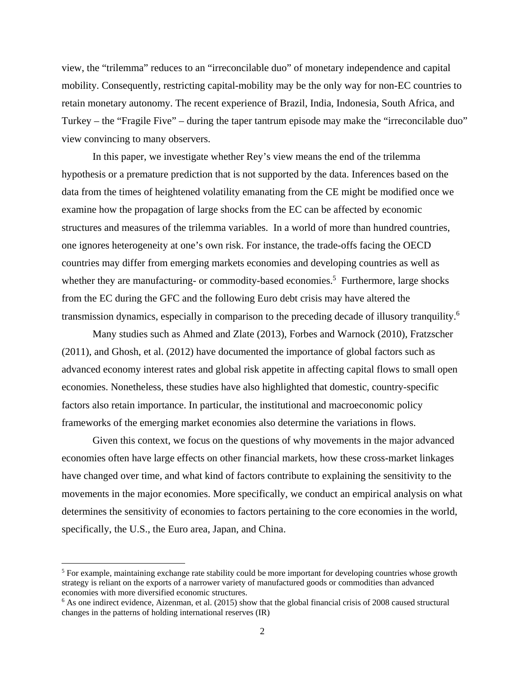view, the "trilemma" reduces to an "irreconcilable duo" of monetary independence and capital mobility. Consequently, restricting capital-mobility may be the only way for non-EC countries to retain monetary autonomy. The recent experience of Brazil, India, Indonesia, South Africa, and Turkey – the "Fragile Five" – during the taper tantrum episode may make the "irreconcilable duo" view convincing to many observers.

In this paper, we investigate whether Rey's view means the end of the trilemma hypothesis or a premature prediction that is not supported by the data. Inferences based on the data from the times of heightened volatility emanating from the CE might be modified once we examine how the propagation of large shocks from the EC can be affected by economic structures and measures of the trilemma variables. In a world of more than hundred countries, one ignores heterogeneity at one's own risk. For instance, the trade-offs facing the OECD countries may differ from emerging markets economies and developing countries as well as whether they are manufacturing- or commodity-based economies.<sup>5</sup> Furthermore, large shocks from the EC during the GFC and the following Euro debt crisis may have altered the transmission dynamics, especially in comparison to the preceding decade of illusory tranquility.6

Many studies such as Ahmed and Zlate (2013), Forbes and Warnock (2010), Fratzscher (2011), and Ghosh, et al. (2012) have documented the importance of global factors such as advanced economy interest rates and global risk appetite in affecting capital flows to small open economies. Nonetheless, these studies have also highlighted that domestic, country-specific factors also retain importance. In particular, the institutional and macroeconomic policy frameworks of the emerging market economies also determine the variations in flows.

Given this context, we focus on the questions of why movements in the major advanced economies often have large effects on other financial markets, how these cross-market linkages have changed over time, and what kind of factors contribute to explaining the sensitivity to the movements in the major economies. More specifically, we conduct an empirical analysis on what determines the sensitivity of economies to factors pertaining to the core economies in the world, specifically, the U.S., the Euro area, Japan, and China.

<sup>&</sup>lt;sup>5</sup> For example, maintaining exchange rate stability could be more important for developing countries whose growth strategy is reliant on the exports of a narrower variety of manufactured goods or commodities than advanced economies with more diversified economic structures.

<sup>&</sup>lt;sup>6</sup> As one indirect evidence, Aizenman, et al. (2015) show that the global financial crisis of 2008 caused structural changes in the patterns of holding international reserves (IR)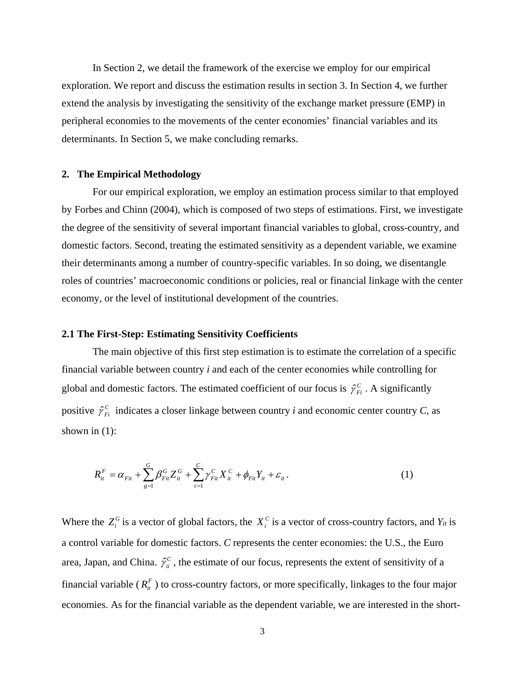In Section 2, we detail the framework of the exercise we employ for our empirical exploration. We report and discuss the estimation results in section 3. In Section 4, we further extend the analysis by investigating the sensitivity of the exchange market pressure (EMP) in peripheral economies to the movements of the center economies' financial variables and its determinants. In Section 5, we make concluding remarks.

### **2. The Empirical Methodology**

For our empirical exploration, we employ an estimation process similar to that employed by Forbes and Chinn (2004), which is composed of two steps of estimations. First, we investigate the degree of the sensitivity of several important financial variables to global, cross-country, and domestic factors. Second, treating the estimated sensitivity as a dependent variable, we examine their determinants among a number of country-specific variables. In so doing, we disentangle roles of countries' macroeconomic conditions or policies, real or financial linkage with the center economy, or the level of institutional development of the countries.

#### **2.1 The First-Step: Estimating Sensitivity Coefficients**

The main objective of this first step estimation is to estimate the correlation of a specific financial variable between country *i* and each of the center economies while controlling for global and domestic factors. The estimated coefficient of our focus is  $\hat{\gamma}_{Fi}^C$ . A significantly positive  $\hat{\gamma}_{F_i}^c$  indicates a closer linkage between country *i* and economic center country *C*, as shown in (1):

$$
R_{it}^{F} = \alpha_{Fit} + \sum_{g=1}^{G} \beta_{Fit}^{G} Z_{it}^{G} + \sum_{c=1}^{C} \gamma_{Fit}^{C} X_{it}^{C} + \phi_{Fit} Y_{it} + \varepsilon_{it}.
$$
 (1)

Where the  $Z_i^G$  is a vector of global factors, the  $X_i^C$  is a vector of cross-country factors, and  $Y_{it}$  is a control variable for domestic factors. *C* represents the center economies: the U.S., the Euro area, Japan, and China.  $\hat{\gamma}^C_{ii}$ , the estimate of our focus, represents the extent of sensitivity of a financial variable  $(R_{it}^F)$  to cross-country factors, or more specifically, linkages to the four major economies. As for the financial variable as the dependent variable, we are interested in the short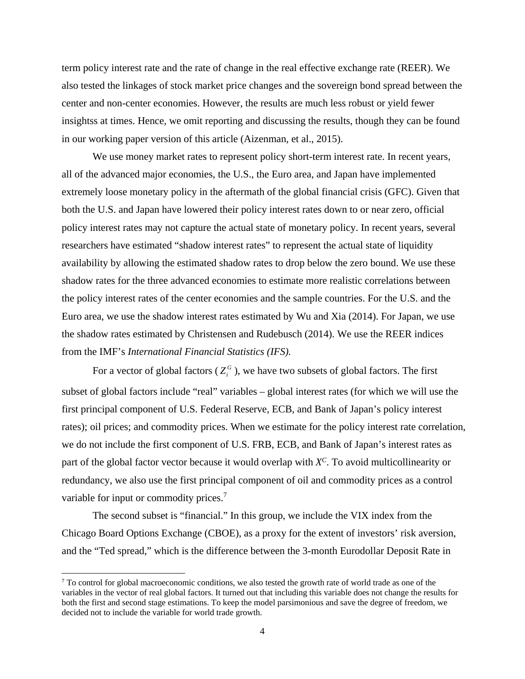term policy interest rate and the rate of change in the real effective exchange rate (REER). We also tested the linkages of stock market price changes and the sovereign bond spread between the center and non-center economies. However, the results are much less robust or yield fewer insightss at times. Hence, we omit reporting and discussing the results, though they can be found in our working paper version of this article (Aizenman, et al., 2015).

We use money market rates to represent policy short-term interest rate. In recent years, all of the advanced major economies, the U.S., the Euro area, and Japan have implemented extremely loose monetary policy in the aftermath of the global financial crisis (GFC). Given that both the U.S. and Japan have lowered their policy interest rates down to or near zero, official policy interest rates may not capture the actual state of monetary policy. In recent years, several researchers have estimated "shadow interest rates" to represent the actual state of liquidity availability by allowing the estimated shadow rates to drop below the zero bound. We use these shadow rates for the three advanced economies to estimate more realistic correlations between the policy interest rates of the center economies and the sample countries. For the U.S. and the Euro area, we use the shadow interest rates estimated by Wu and Xia (2014). For Japan, we use the shadow rates estimated by Christensen and Rudebusch (2014). We use the REER indices from the IMF's *International Financial Statistics (IFS).*

For a vector of global factors  $(Z_i^G)$ , we have two subsets of global factors. The first subset of global factors include "real" variables – global interest rates (for which we will use the first principal component of U.S. Federal Reserve, ECB, and Bank of Japan's policy interest rates); oil prices; and commodity prices. When we estimate for the policy interest rate correlation, we do not include the first component of U.S. FRB, ECB, and Bank of Japan's interest rates as part of the global factor vector because it would overlap with  $X^C$ . To avoid multicollinearity or redundancy, we also use the first principal component of oil and commodity prices as a control variable for input or commodity prices.<sup>7</sup>

The second subset is "financial." In this group, we include the VIX index from the Chicago Board Options Exchange (CBOE), as a proxy for the extent of investors' risk aversion, and the "Ted spread," which is the difference between the 3-month Eurodollar Deposit Rate in

 $<sup>7</sup>$  To control for global macroeconomic conditions, we also tested the growth rate of world trade as one of the</sup> variables in the vector of real global factors. It turned out that including this variable does not change the results for both the first and second stage estimations. To keep the model parsimonious and save the degree of freedom, we decided not to include the variable for world trade growth.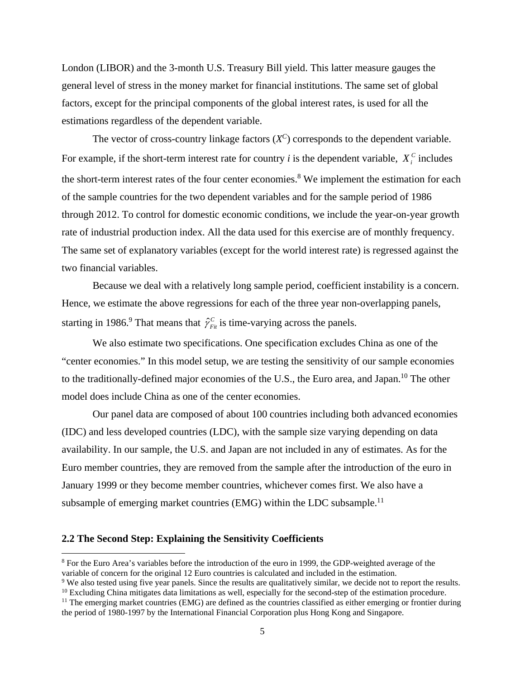London (LIBOR) and the 3-month U.S. Treasury Bill yield. This latter measure gauges the general level of stress in the money market for financial institutions. The same set of global factors, except for the principal components of the global interest rates, is used for all the estimations regardless of the dependent variable.

The vector of cross-country linkage factors  $(X^C)$  corresponds to the dependent variable. For example, if the short-term interest rate for country *i* is the dependent variable,  $X_i^c$  includes the short-term interest rates of the four center economies.<sup>8</sup> We implement the estimation for each of the sample countries for the two dependent variables and for the sample period of 1986 through 2012. To control for domestic economic conditions, we include the year-on-year growth rate of industrial production index. All the data used for this exercise are of monthly frequency. The same set of explanatory variables (except for the world interest rate) is regressed against the two financial variables.

Because we deal with a relatively long sample period, coefficient instability is a concern. Hence, we estimate the above regressions for each of the three year non-overlapping panels, starting in 1986.<sup>9</sup> That means that  $\hat{\gamma}_{Fit}^C$  is time-varying across the panels.

We also estimate two specifications. One specification excludes China as one of the "center economies." In this model setup, we are testing the sensitivity of our sample economies to the traditionally-defined major economies of the U.S., the Euro area, and Japan.<sup>10</sup> The other model does include China as one of the center economies.

Our panel data are composed of about 100 countries including both advanced economies (IDC) and less developed countries (LDC), with the sample size varying depending on data availability. In our sample, the U.S. and Japan are not included in any of estimates. As for the Euro member countries, they are removed from the sample after the introduction of the euro in January 1999 or they become member countries, whichever comes first. We also have a subsample of emerging market countries (EMG) within the LDC subsample.<sup>11</sup>

# **2.2 The Second Step: Explaining the Sensitivity Coefficients**

<sup>&</sup>lt;sup>8</sup> For the Euro Area's variables before the introduction of the euro in 1999, the GDP-weighted average of the variable of concern for the original 12 Euro countries is calculated and included in the estimation.<br><sup>9</sup> We also tested using five year panels. Since the results are qualitatively similar, we decide not to report the resul

 $^{10}$  Excluding China mitigates data limitations as well, especially for the second-step of the estimation procedure.<br><sup>11</sup> The emerging market countries (EMG) are defined as the countries classified as either emerging or the period of 1980-1997 by the International Financial Corporation plus Hong Kong and Singapore.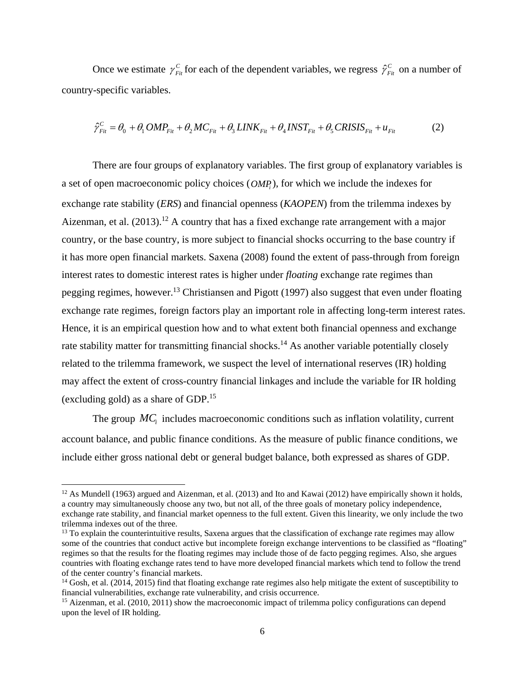Once we estimate  $\gamma_{Fit}^C$  for each of the dependent variables, we regress  $\hat{\gamma}_{Fit}^C$  on a number of country-specific variables.

$$
\hat{\gamma}_{Fit}^C = \theta_0 + \theta_1 OMP_{Fit} + \theta_2 MC_{Fit} + \theta_3 LINK_{Fit} + \theta_4 INST_{Fit} + \theta_5 CRISIS_{Fit} + u_{Fit}
$$
\n(2)

There are four groups of explanatory variables. The first group of explanatory variables is a set of open macroeconomic policy choices (*OMP<sub>i</sub>*), for which we include the indexes for exchange rate stability (*ERS*) and financial openness (*KAOPEN*) from the trilemma indexes by Aizenman, et al.  $(2013)^{12}$  A country that has a fixed exchange rate arrangement with a major country, or the base country, is more subject to financial shocks occurring to the base country if it has more open financial markets. Saxena (2008) found the extent of pass-through from foreign interest rates to domestic interest rates is higher under *floating* exchange rate regimes than pegging regimes, however.13 Christiansen and Pigott (1997) also suggest that even under floating exchange rate regimes, foreign factors play an important role in affecting long-term interest rates. Hence, it is an empirical question how and to what extent both financial openness and exchange rate stability matter for transmitting financial shocks.<sup>14</sup> As another variable potentially closely related to the trilemma framework, we suspect the level of international reserves (IR) holding may affect the extent of cross-country financial linkages and include the variable for IR holding (excluding gold) as a share of GDP.15

The group  $MC<sub>i</sub>$  includes macroeconomic conditions such as inflation volatility, current account balance, and public finance conditions. As the measure of public finance conditions, we include either gross national debt or general budget balance, both expressed as shares of GDP.

<sup>&</sup>lt;sup>12</sup> As Mundell (1963) argued and Aizenman, et al. (2013) and Ito and Kawai (2012) have empirically shown it holds, a country may simultaneously choose any two, but not all, of the three goals of monetary policy independence, exchange rate stability, and financial market openness to the full extent. Given this linearity, we only include the two trilemma indexes out of the three.

<sup>&</sup>lt;sup>13</sup> To explain the counterintuitive results, Saxena argues that the classification of exchange rate regimes may allow some of the countries that conduct active but incomplete foreign exchange interventions to be classified as "floating" regimes so that the results for the floating regimes may include those of de facto pegging regimes. Also, she argues countries with floating exchange rates tend to have more developed financial markets which tend to follow the trend of the center country's financial markets.

 $14$  Gosh, et al. (2014, 2015) find that floating exchange rate regimes also help mitigate the extent of susceptibility to financial vulnerabilities, exchange rate vulnerability, and crisis occurrence. 15 Aizenman, et al. (2010, 2011) show the macroeconomic impact of trilemma policy configurations can depend

upon the level of IR holding.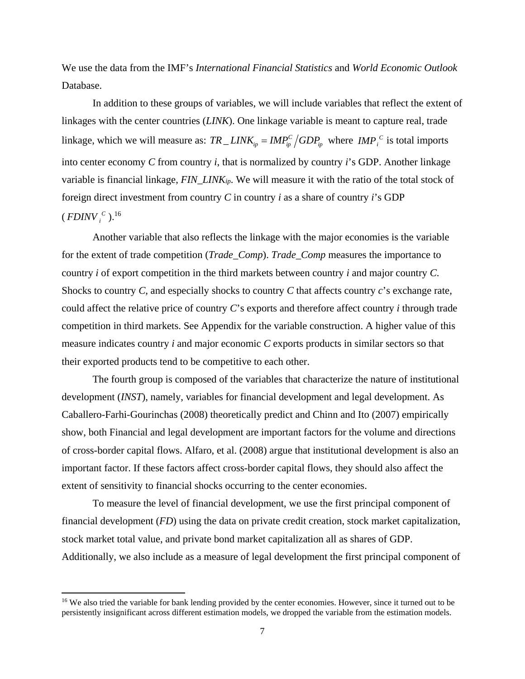We use the data from the IMF's *International Financial Statistics* and *World Economic Outlook* Database.

In addition to these groups of variables, we will include variables that reflect the extent of linkages with the center countries (*LINK*). One linkage variable is meant to capture real, trade linkage, which we will measure as:  $TR \_LINK_{ip} = IMP^C_{ip}/GDP_{ip}$  where  $IMP_i^c$  is total imports into center economy *C* from country *i*, that is normalized by country *i*'s GDP. Another linkage variable is financial linkage, *FIN\_LINKip*. We will measure it with the ratio of the total stock of foreign direct investment from country *C* in country *i* as a share of country *i*'s GDP  $(FDINV, ^{C})$ .<sup>16</sup>

Another variable that also reflects the linkage with the major economies is the variable for the extent of trade competition (*Trade\_Comp*). *Trade\_Comp* measures the importance to country *i* of export competition in the third markets between country *i* and major country *C*. Shocks to country *C*, and especially shocks to country *C* that affects country *c*'s exchange rate, could affect the relative price of country *C*'s exports and therefore affect country *i* through trade competition in third markets. See Appendix for the variable construction. A higher value of this measure indicates country *i* and major economic *C* exports products in similar sectors so that their exported products tend to be competitive to each other.

The fourth group is composed of the variables that characterize the nature of institutional development (*INST*), namely, variables for financial development and legal development. As Caballero-Farhi-Gourinchas (2008) theoretically predict and Chinn and Ito (2007) empirically show, both Financial and legal development are important factors for the volume and directions of cross-border capital flows. Alfaro, et al. (2008) argue that institutional development is also an important factor. If these factors affect cross-border capital flows, they should also affect the extent of sensitivity to financial shocks occurring to the center economies.

To measure the level of financial development, we use the first principal component of financial development (*FD*) using the data on private credit creation, stock market capitalization, stock market total value, and private bond market capitalization all as shares of GDP. Additionally, we also include as a measure of legal development the first principal component of

<sup>&</sup>lt;sup>16</sup> We also tried the variable for bank lending provided by the center economies. However, since it turned out to be persistently insignificant across different estimation models, we dropped the variable from the estimation models.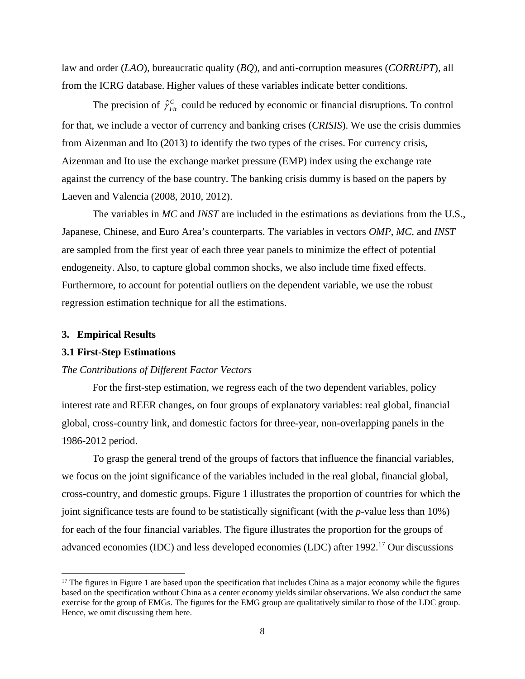law and order (*LAO*), bureaucratic quality (*BQ*), and anti-corruption measures (*CORRUPT*), all from the ICRG database. Higher values of these variables indicate better conditions.

The precision of  $\hat{\gamma}_{Fit}^C$  could be reduced by economic or financial disruptions. To control for that, we include a vector of currency and banking crises (*CRISIS*). We use the crisis dummies from Aizenman and Ito (2013) to identify the two types of the crises. For currency crisis, Aizenman and Ito use the exchange market pressure (EMP) index using the exchange rate against the currency of the base country. The banking crisis dummy is based on the papers by Laeven and Valencia (2008, 2010, 2012).

The variables in *MC* and *INST* are included in the estimations as deviations from the U.S., Japanese, Chinese, and Euro Area's counterparts. The variables in vectors *OMP*, *MC*, and *INST* are sampled from the first year of each three year panels to minimize the effect of potential endogeneity. Also, to capture global common shocks, we also include time fixed effects. Furthermore, to account for potential outliers on the dependent variable, we use the robust regression estimation technique for all the estimations.

#### **3. Empirical Results**

#### **3.1 First-Step Estimations**

#### *The Contributions of Different Factor Vectors*

For the first-step estimation, we regress each of the two dependent variables, policy interest rate and REER changes, on four groups of explanatory variables: real global, financial global, cross-country link, and domestic factors for three-year, non-overlapping panels in the 1986-2012 period.

To grasp the general trend of the groups of factors that influence the financial variables, we focus on the joint significance of the variables included in the real global, financial global, cross-country, and domestic groups. Figure 1 illustrates the proportion of countries for which the joint significance tests are found to be statistically significant (with the *p*-value less than 10%) for each of the four financial variables. The figure illustrates the proportion for the groups of advanced economies (IDC) and less developed economies (LDC) after 1992.17 Our discussions

 $17$  The figures in Figure 1 are based upon the specification that includes China as a major economy while the figures based on the specification without China as a center economy yields similar observations. We also conduct the same exercise for the group of EMGs. The figures for the EMG group are qualitatively similar to those of the LDC group. Hence, we omit discussing them here.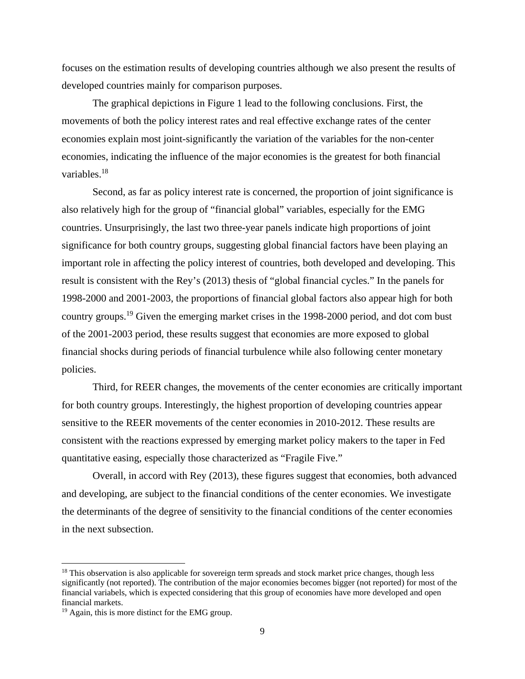focuses on the estimation results of developing countries although we also present the results of developed countries mainly for comparison purposes.

The graphical depictions in Figure 1 lead to the following conclusions. First, the movements of both the policy interest rates and real effective exchange rates of the center economies explain most joint-significantly the variation of the variables for the non-center economies, indicating the influence of the major economies is the greatest for both financial variables.18

Second, as far as policy interest rate is concerned, the proportion of joint significance is also relatively high for the group of "financial global" variables, especially for the EMG countries. Unsurprisingly, the last two three-year panels indicate high proportions of joint significance for both country groups, suggesting global financial factors have been playing an important role in affecting the policy interest of countries, both developed and developing. This result is consistent with the Rey's (2013) thesis of "global financial cycles." In the panels for 1998-2000 and 2001-2003, the proportions of financial global factors also appear high for both country groups.<sup>19</sup> Given the emerging market crises in the 1998-2000 period, and dot com bust of the 2001-2003 period, these results suggest that economies are more exposed to global financial shocks during periods of financial turbulence while also following center monetary policies.

Third, for REER changes, the movements of the center economies are critically important for both country groups. Interestingly, the highest proportion of developing countries appear sensitive to the REER movements of the center economies in 2010-2012. These results are consistent with the reactions expressed by emerging market policy makers to the taper in Fed quantitative easing, especially those characterized as "Fragile Five."

Overall, in accord with Rey (2013), these figures suggest that economies, both advanced and developing, are subject to the financial conditions of the center economies. We investigate the determinants of the degree of sensitivity to the financial conditions of the center economies in the next subsection.

<sup>&</sup>lt;sup>18</sup> This observation is also applicable for sovereign term spreads and stock market price changes, though less significantly (not reported). The contribution of the major economies becomes bigger (not reported) for most of the financial variabels, which is expected considering that this group of economies have more developed and open financial markets.

 $19$  Again, this is more distinct for the EMG group.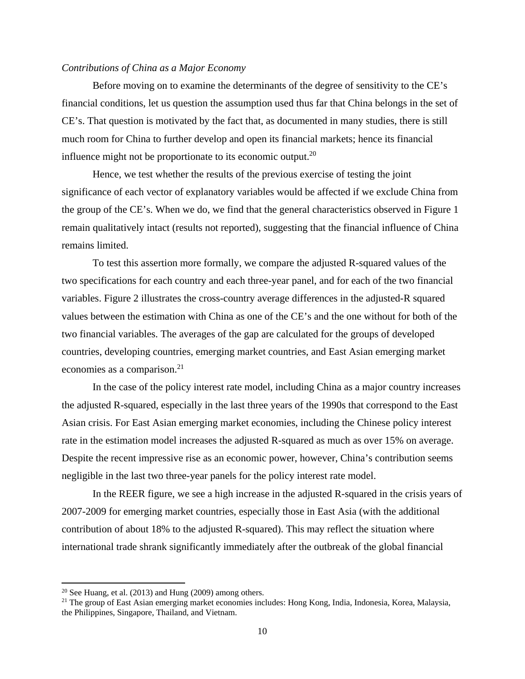#### *Contributions of China as a Major Economy*

Before moving on to examine the determinants of the degree of sensitivity to the CE's financial conditions, let us question the assumption used thus far that China belongs in the set of CE's. That question is motivated by the fact that, as documented in many studies, there is still much room for China to further develop and open its financial markets; hence its financial influence might not be proportionate to its economic output.<sup>20</sup>

Hence, we test whether the results of the previous exercise of testing the joint significance of each vector of explanatory variables would be affected if we exclude China from the group of the CE's. When we do, we find that the general characteristics observed in Figure 1 remain qualitatively intact (results not reported), suggesting that the financial influence of China remains limited.

To test this assertion more formally, we compare the adjusted R-squared values of the two specifications for each country and each three-year panel, and for each of the two financial variables. Figure 2 illustrates the cross-country average differences in the adjusted-R squared values between the estimation with China as one of the CE's and the one without for both of the two financial variables. The averages of the gap are calculated for the groups of developed countries, developing countries, emerging market countries, and East Asian emerging market economies as a comparison.<sup>21</sup>

In the case of the policy interest rate model, including China as a major country increases the adjusted R-squared, especially in the last three years of the 1990s that correspond to the East Asian crisis. For East Asian emerging market economies, including the Chinese policy interest rate in the estimation model increases the adjusted R-squared as much as over 15% on average. Despite the recent impressive rise as an economic power, however, China's contribution seems negligible in the last two three-year panels for the policy interest rate model.

In the REER figure, we see a high increase in the adjusted R-squared in the crisis years of 2007-2009 for emerging market countries, especially those in East Asia (with the additional contribution of about 18% to the adjusted R-squared). This may reflect the situation where international trade shrank significantly immediately after the outbreak of the global financial

<sup>&</sup>lt;sup>20</sup> See Huang, et al. (2013) and Hung (2009) among others.

<sup>21</sup> The group of East Asian emerging market economies includes: Hong Kong, India, Indonesia, Korea, Malaysia, the Philippines, Singapore, Thailand, and Vietnam.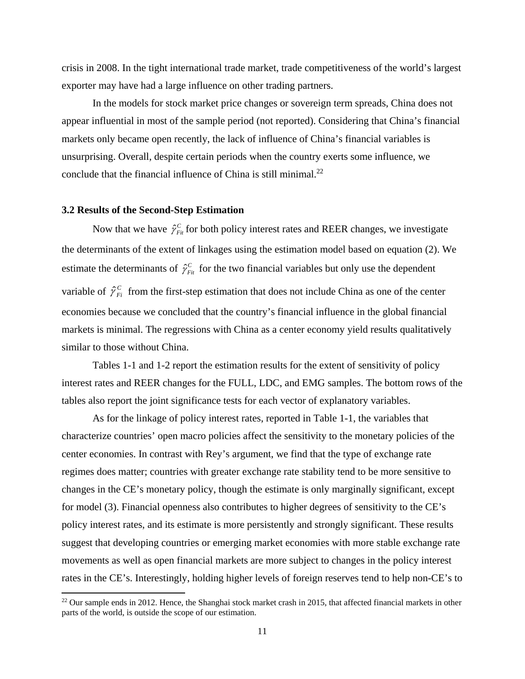crisis in 2008. In the tight international trade market, trade competitiveness of the world's largest exporter may have had a large influence on other trading partners.

In the models for stock market price changes or sovereign term spreads, China does not appear influential in most of the sample period (not reported). Considering that China's financial markets only became open recently, the lack of influence of China's financial variables is unsurprising. Overall, despite certain periods when the country exerts some influence, we conclude that the financial influence of China is still minimal. $^{22}$ 

#### **3.2 Results of the Second-Step Estimation**

Now that we have  $\hat{\gamma}_{F_{tt}}^C$  for both policy interest rates and REER changes, we investigate the determinants of the extent of linkages using the estimation model based on equation (2). We estimate the determinants of  $\hat{\gamma}_{Fit}^C$  for the two financial variables but only use the dependent variable of  $\hat{\gamma}_{F_i}^C$  from the first-step estimation that does not include China as one of the center economies because we concluded that the country's financial influence in the global financial markets is minimal. The regressions with China as a center economy yield results qualitatively similar to those without China.

Tables 1-1 and 1-2 report the estimation results for the extent of sensitivity of policy interest rates and REER changes for the FULL, LDC, and EMG samples. The bottom rows of the tables also report the joint significance tests for each vector of explanatory variables.

As for the linkage of policy interest rates, reported in Table 1-1, the variables that characterize countries' open macro policies affect the sensitivity to the monetary policies of the center economies. In contrast with Rey's argument, we find that the type of exchange rate regimes does matter; countries with greater exchange rate stability tend to be more sensitive to changes in the CE's monetary policy, though the estimate is only marginally significant, except for model (3). Financial openness also contributes to higher degrees of sensitivity to the CE's policy interest rates, and its estimate is more persistently and strongly significant. These results suggest that developing countries or emerging market economies with more stable exchange rate movements as well as open financial markets are more subject to changes in the policy interest rates in the CE's. Interestingly, holding higher levels of foreign reserves tend to help non-CE's to

 $22$  Our sample ends in 2012. Hence, the Shanghai stock market crash in 2015, that affected financial markets in other parts of the world, is outside the scope of our estimation.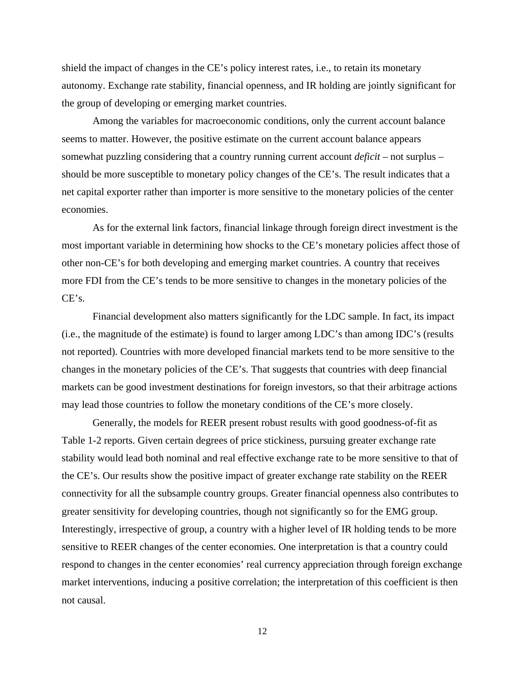shield the impact of changes in the CE's policy interest rates, i.e., to retain its monetary autonomy. Exchange rate stability, financial openness, and IR holding are jointly significant for the group of developing or emerging market countries.

Among the variables for macroeconomic conditions, only the current account balance seems to matter. However, the positive estimate on the current account balance appears somewhat puzzling considering that a country running current account *deficit* – not surplus – should be more susceptible to monetary policy changes of the CE's. The result indicates that a net capital exporter rather than importer is more sensitive to the monetary policies of the center economies.

As for the external link factors, financial linkage through foreign direct investment is the most important variable in determining how shocks to the CE's monetary policies affect those of other non-CE's for both developing and emerging market countries. A country that receives more FDI from the CE's tends to be more sensitive to changes in the monetary policies of the CE's.

Financial development also matters significantly for the LDC sample. In fact, its impact (i.e., the magnitude of the estimate) is found to larger among LDC's than among IDC's (results not reported). Countries with more developed financial markets tend to be more sensitive to the changes in the monetary policies of the CE's. That suggests that countries with deep financial markets can be good investment destinations for foreign investors, so that their arbitrage actions may lead those countries to follow the monetary conditions of the CE's more closely.

Generally, the models for REER present robust results with good goodness-of-fit as Table 1-2 reports. Given certain degrees of price stickiness, pursuing greater exchange rate stability would lead both nominal and real effective exchange rate to be more sensitive to that of the CE's. Our results show the positive impact of greater exchange rate stability on the REER connectivity for all the subsample country groups. Greater financial openness also contributes to greater sensitivity for developing countries, though not significantly so for the EMG group. Interestingly, irrespective of group, a country with a higher level of IR holding tends to be more sensitive to REER changes of the center economies. One interpretation is that a country could respond to changes in the center economies' real currency appreciation through foreign exchange market interventions, inducing a positive correlation; the interpretation of this coefficient is then not causal.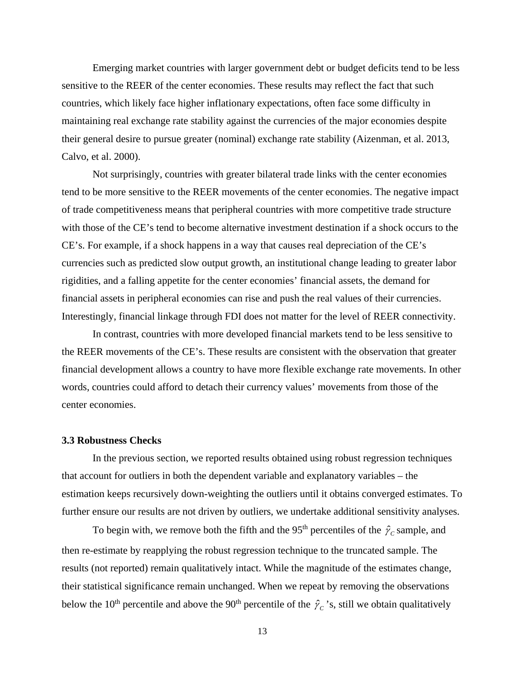Emerging market countries with larger government debt or budget deficits tend to be less sensitive to the REER of the center economies. These results may reflect the fact that such countries, which likely face higher inflationary expectations, often face some difficulty in maintaining real exchange rate stability against the currencies of the major economies despite their general desire to pursue greater (nominal) exchange rate stability (Aizenman, et al. 2013, Calvo, et al. 2000).

Not surprisingly, countries with greater bilateral trade links with the center economies tend to be more sensitive to the REER movements of the center economies. The negative impact of trade competitiveness means that peripheral countries with more competitive trade structure with those of the CE's tend to become alternative investment destination if a shock occurs to the CE's. For example, if a shock happens in a way that causes real depreciation of the CE's currencies such as predicted slow output growth, an institutional change leading to greater labor rigidities, and a falling appetite for the center economies' financial assets, the demand for financial assets in peripheral economies can rise and push the real values of their currencies. Interestingly, financial linkage through FDI does not matter for the level of REER connectivity.

In contrast, countries with more developed financial markets tend to be less sensitive to the REER movements of the CE's. These results are consistent with the observation that greater financial development allows a country to have more flexible exchange rate movements. In other words, countries could afford to detach their currency values' movements from those of the center economies.

## **3.3 Robustness Checks**

In the previous section, we reported results obtained using robust regression techniques that account for outliers in both the dependent variable and explanatory variables – the estimation keeps recursively down-weighting the outliers until it obtains converged estimates. To further ensure our results are not driven by outliers, we undertake additional sensitivity analyses.

To begin with, we remove both the fifth and the 95<sup>th</sup> percentiles of the  $\hat{\gamma}_c$  sample, and then re-estimate by reapplying the robust regression technique to the truncated sample. The results (not reported) remain qualitatively intact. While the magnitude of the estimates change, their statistical significance remain unchanged. When we repeat by removing the observations below the 10<sup>th</sup> percentile and above the 90<sup>th</sup> percentile of the  $\hat{\gamma}_c$ 's, still we obtain qualitatively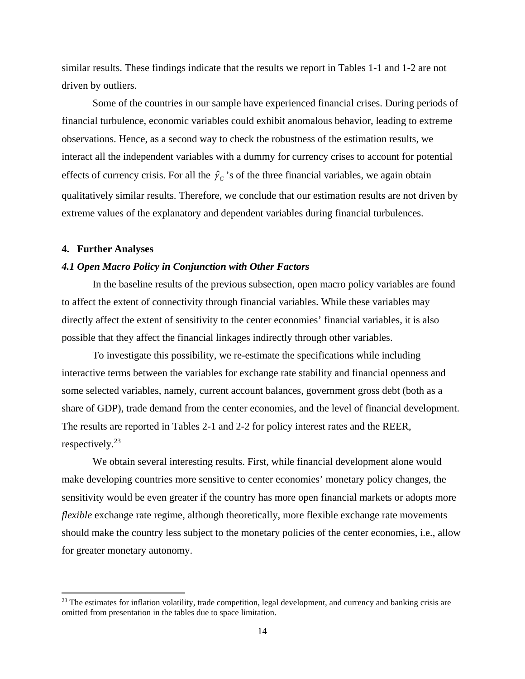similar results. These findings indicate that the results we report in Tables 1-1 and 1-2 are not driven by outliers.

Some of the countries in our sample have experienced financial crises. During periods of financial turbulence, economic variables could exhibit anomalous behavior, leading to extreme observations. Hence, as a second way to check the robustness of the estimation results, we interact all the independent variables with a dummy for currency crises to account for potential effects of currency crisis. For all the  $\hat{\gamma}_c$ 's of the three financial variables, we again obtain qualitatively similar results. Therefore, we conclude that our estimation results are not driven by extreme values of the explanatory and dependent variables during financial turbulences.

#### **4. Further Analyses**

#### *4.1 Open Macro Policy in Conjunction with Other Factors*

In the baseline results of the previous subsection, open macro policy variables are found to affect the extent of connectivity through financial variables. While these variables may directly affect the extent of sensitivity to the center economies' financial variables, it is also possible that they affect the financial linkages indirectly through other variables.

To investigate this possibility, we re-estimate the specifications while including interactive terms between the variables for exchange rate stability and financial openness and some selected variables, namely, current account balances, government gross debt (both as a share of GDP), trade demand from the center economies, and the level of financial development. The results are reported in Tables 2-1 and 2-2 for policy interest rates and the REER, respectively.23

We obtain several interesting results. First, while financial development alone would make developing countries more sensitive to center economies' monetary policy changes, the sensitivity would be even greater if the country has more open financial markets or adopts more *flexible* exchange rate regime, although theoretically, more flexible exchange rate movements should make the country less subject to the monetary policies of the center economies, i.e., allow for greater monetary autonomy.

<sup>&</sup>lt;sup>23</sup> The estimates for inflation volatility, trade competition, legal development, and currency and banking crisis are omitted from presentation in the tables due to space limitation.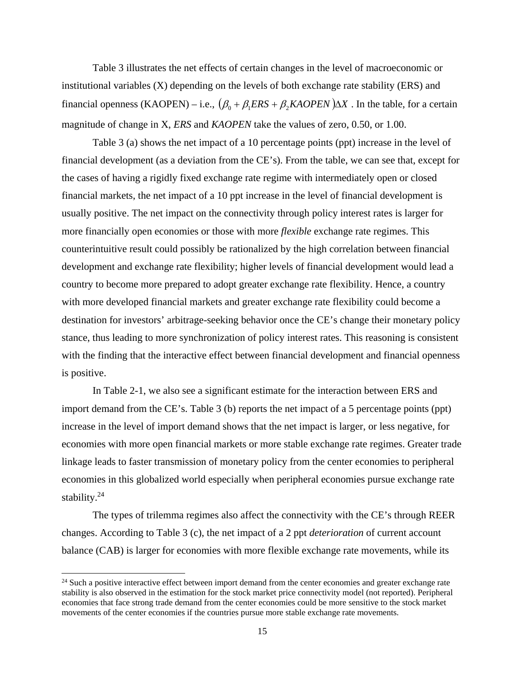Table 3 illustrates the net effects of certain changes in the level of macroeconomic or institutional variables (X) depending on the levels of both exchange rate stability (ERS) and financial openness (KAOPEN) – i.e.,  $(\beta_0 + \beta_1 ERS + \beta_2 KAOPEN) \Delta X$ . In the table, for a certain magnitude of change in X, *ERS* and *KAOPEN* take the values of zero, 0.50, or 1.00.

Table 3 (a) shows the net impact of a 10 percentage points (ppt) increase in the level of financial development (as a deviation from the CE's). From the table, we can see that, except for the cases of having a rigidly fixed exchange rate regime with intermediately open or closed financial markets, the net impact of a 10 ppt increase in the level of financial development is usually positive. The net impact on the connectivity through policy interest rates is larger for more financially open economies or those with more *flexible* exchange rate regimes. This counterintuitive result could possibly be rationalized by the high correlation between financial development and exchange rate flexibility; higher levels of financial development would lead a country to become more prepared to adopt greater exchange rate flexibility. Hence, a country with more developed financial markets and greater exchange rate flexibility could become a destination for investors' arbitrage-seeking behavior once the CE's change their monetary policy stance, thus leading to more synchronization of policy interest rates. This reasoning is consistent with the finding that the interactive effect between financial development and financial openness is positive.

In Table 2-1, we also see a significant estimate for the interaction between ERS and import demand from the CE's. Table 3 (b) reports the net impact of a 5 percentage points (ppt) increase in the level of import demand shows that the net impact is larger, or less negative, for economies with more open financial markets or more stable exchange rate regimes. Greater trade linkage leads to faster transmission of monetary policy from the center economies to peripheral economies in this globalized world especially when peripheral economies pursue exchange rate stability.<sup>24</sup>

The types of trilemma regimes also affect the connectivity with the CE's through REER changes. According to Table 3 (c), the net impact of a 2 ppt *deterioration* of current account balance (CAB) is larger for economies with more flexible exchange rate movements, while its

<sup>&</sup>lt;sup>24</sup> Such a positive interactive effect between import demand from the center economies and greater exchange rate stability is also observed in the estimation for the stock market price connectivity model (not reported). Peripheral economies that face strong trade demand from the center economies could be more sensitive to the stock market movements of the center economies if the countries pursue more stable exchange rate movements.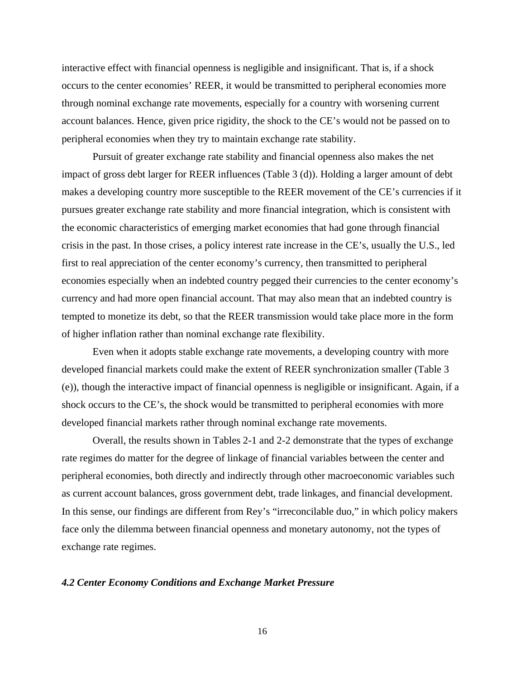interactive effect with financial openness is negligible and insignificant. That is, if a shock occurs to the center economies' REER, it would be transmitted to peripheral economies more through nominal exchange rate movements, especially for a country with worsening current account balances. Hence, given price rigidity, the shock to the CE's would not be passed on to peripheral economies when they try to maintain exchange rate stability.

Pursuit of greater exchange rate stability and financial openness also makes the net impact of gross debt larger for REER influences (Table 3 (d)). Holding a larger amount of debt makes a developing country more susceptible to the REER movement of the CE's currencies if it pursues greater exchange rate stability and more financial integration, which is consistent with the economic characteristics of emerging market economies that had gone through financial crisis in the past. In those crises, a policy interest rate increase in the CE's, usually the U.S., led first to real appreciation of the center economy's currency, then transmitted to peripheral economies especially when an indebted country pegged their currencies to the center economy's currency and had more open financial account. That may also mean that an indebted country is tempted to monetize its debt, so that the REER transmission would take place more in the form of higher inflation rather than nominal exchange rate flexibility.

Even when it adopts stable exchange rate movements, a developing country with more developed financial markets could make the extent of REER synchronization smaller (Table 3 (e)), though the interactive impact of financial openness is negligible or insignificant. Again, if a shock occurs to the CE's, the shock would be transmitted to peripheral economies with more developed financial markets rather through nominal exchange rate movements.

Overall, the results shown in Tables 2-1 and 2-2 demonstrate that the types of exchange rate regimes do matter for the degree of linkage of financial variables between the center and peripheral economies, both directly and indirectly through other macroeconomic variables such as current account balances, gross government debt, trade linkages, and financial development. In this sense, our findings are different from Rey's "irreconcilable duo," in which policy makers face only the dilemma between financial openness and monetary autonomy, not the types of exchange rate regimes.

#### *4.2 Center Economy Conditions and Exchange Market Pressure*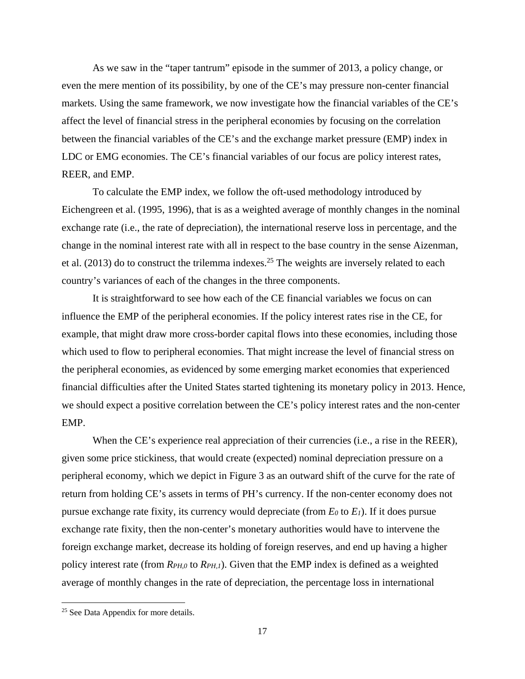As we saw in the "taper tantrum" episode in the summer of 2013, a policy change, or even the mere mention of its possibility, by one of the CE's may pressure non-center financial markets. Using the same framework, we now investigate how the financial variables of the CE's affect the level of financial stress in the peripheral economies by focusing on the correlation between the financial variables of the CE's and the exchange market pressure (EMP) index in LDC or EMG economies. The CE's financial variables of our focus are policy interest rates, REER, and EMP.

To calculate the EMP index, we follow the oft-used methodology introduced by Eichengreen et al. (1995, 1996), that is as a weighted average of monthly changes in the nominal exchange rate (i.e., the rate of depreciation), the international reserve loss in percentage, and the change in the nominal interest rate with all in respect to the base country in the sense Aizenman, et al.  $(2013)$  do to construct the trilemma indexes.<sup>25</sup> The weights are inversely related to each country's variances of each of the changes in the three components.

It is straightforward to see how each of the CE financial variables we focus on can influence the EMP of the peripheral economies. If the policy interest rates rise in the CE, for example, that might draw more cross-border capital flows into these economies, including those which used to flow to peripheral economies. That might increase the level of financial stress on the peripheral economies, as evidenced by some emerging market economies that experienced financial difficulties after the United States started tightening its monetary policy in 2013. Hence, we should expect a positive correlation between the CE's policy interest rates and the non-center EMP.

When the CE's experience real appreciation of their currencies (i.e., a rise in the REER), given some price stickiness, that would create (expected) nominal depreciation pressure on a peripheral economy, which we depict in Figure 3 as an outward shift of the curve for the rate of return from holding CE's assets in terms of PH's currency. If the non-center economy does not pursue exchange rate fixity, its currency would depreciate (from  $E_0$  to  $E_1$ ). If it does pursue exchange rate fixity, then the non-center's monetary authorities would have to intervene the foreign exchange market, decrease its holding of foreign reserves, and end up having a higher policy interest rate (from *RPH,0* to *RPH,1*). Given that the EMP index is defined as a weighted average of monthly changes in the rate of depreciation, the percentage loss in international

 <sup>25</sup> See Data Appendix for more details.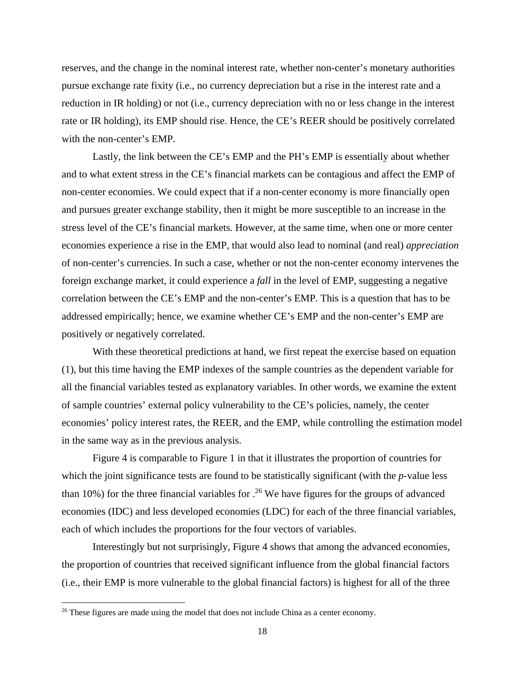reserves, and the change in the nominal interest rate, whether non-center's monetary authorities pursue exchange rate fixity (i.e., no currency depreciation but a rise in the interest rate and a reduction in IR holding) or not (i.e., currency depreciation with no or less change in the interest rate or IR holding), its EMP should rise. Hence, the CE's REER should be positively correlated with the non-center's EMP.

Lastly, the link between the CE's EMP and the PH's EMP is essentially about whether and to what extent stress in the CE's financial markets can be contagious and affect the EMP of non-center economies. We could expect that if a non-center economy is more financially open and pursues greater exchange stability, then it might be more susceptible to an increase in the stress level of the CE's financial markets. However, at the same time, when one or more center economies experience a rise in the EMP, that would also lead to nominal (and real) *appreciation* of non-center's currencies. In such a case, whether or not the non-center economy intervenes the foreign exchange market, it could experience a *fall* in the level of EMP, suggesting a negative correlation between the CE's EMP and the non-center's EMP. This is a question that has to be addressed empirically; hence, we examine whether CE's EMP and the non-center's EMP are positively or negatively correlated.

With these theoretical predictions at hand, we first repeat the exercise based on equation (1), but this time having the EMP indexes of the sample countries as the dependent variable for all the financial variables tested as explanatory variables. In other words, we examine the extent of sample countries' external policy vulnerability to the CE's policies, namely, the center economies' policy interest rates, the REER, and the EMP, while controlling the estimation model in the same way as in the previous analysis.

Figure 4 is comparable to Figure 1 in that it illustrates the proportion of countries for which the joint significance tests are found to be statistically significant (with the *p*-value less than 10%) for the three financial variables for  $.26$  We have figures for the groups of advanced economies (IDC) and less developed economies (LDC) for each of the three financial variables, each of which includes the proportions for the four vectors of variables.

Interestingly but not surprisingly, Figure 4 shows that among the advanced economies, the proportion of countries that received significant influence from the global financial factors (i.e., their EMP is more vulnerable to the global financial factors) is highest for all of the three

 $26$  These figures are made using the model that does not include China as a center economy.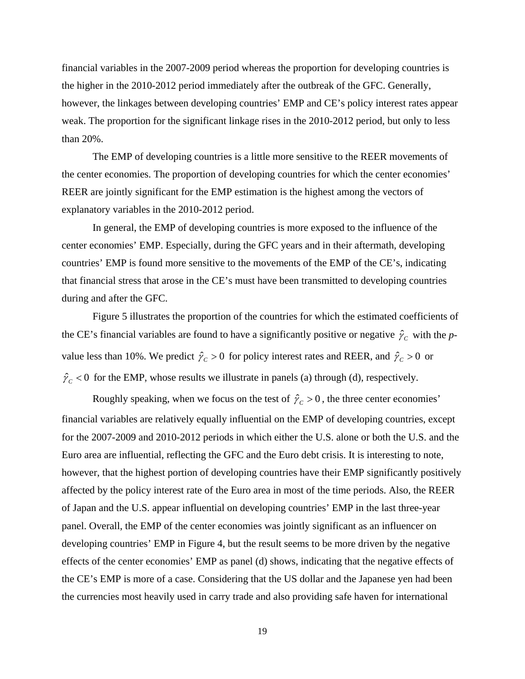financial variables in the 2007-2009 period whereas the proportion for developing countries is the higher in the 2010-2012 period immediately after the outbreak of the GFC. Generally, however, the linkages between developing countries' EMP and CE's policy interest rates appear weak. The proportion for the significant linkage rises in the 2010-2012 period, but only to less than 20%.

The EMP of developing countries is a little more sensitive to the REER movements of the center economies. The proportion of developing countries for which the center economies' REER are jointly significant for the EMP estimation is the highest among the vectors of explanatory variables in the 2010-2012 period.

In general, the EMP of developing countries is more exposed to the influence of the center economies' EMP. Especially, during the GFC years and in their aftermath, developing countries' EMP is found more sensitive to the movements of the EMP of the CE's, indicating that financial stress that arose in the CE's must have been transmitted to developing countries during and after the GFC.

Figure 5 illustrates the proportion of the countries for which the estimated coefficients of the CE's financial variables are found to have a significantly positive or negative  $\hat{\gamma}_c$  with the *p*value less than 10%. We predict  $\hat{\gamma}_c > 0$  for policy interest rates and REER, and  $\hat{\gamma}_c > 0$  or  $\hat{\gamma}_c$  < 0 for the EMP, whose results we illustrate in panels (a) through (d), respectively.

Roughly speaking, when we focus on the test of  $\hat{\gamma}_c > 0$ , the three center economies' financial variables are relatively equally influential on the EMP of developing countries, except for the 2007-2009 and 2010-2012 periods in which either the U.S. alone or both the U.S. and the Euro area are influential, reflecting the GFC and the Euro debt crisis. It is interesting to note, however, that the highest portion of developing countries have their EMP significantly positively affected by the policy interest rate of the Euro area in most of the time periods. Also, the REER of Japan and the U.S. appear influential on developing countries' EMP in the last three-year panel. Overall, the EMP of the center economies was jointly significant as an influencer on developing countries' EMP in Figure 4, but the result seems to be more driven by the negative effects of the center economies' EMP as panel (d) shows, indicating that the negative effects of the CE's EMP is more of a case. Considering that the US dollar and the Japanese yen had been the currencies most heavily used in carry trade and also providing safe haven for international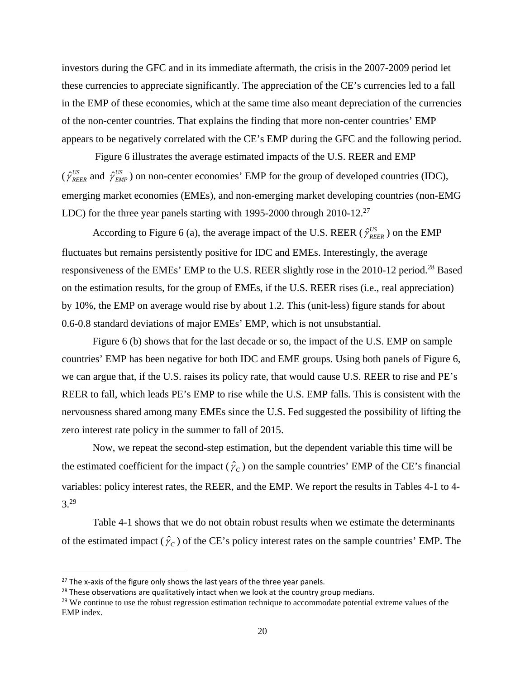investors during the GFC and in its immediate aftermath, the crisis in the 2007-2009 period let these currencies to appreciate significantly. The appreciation of the CE's currencies led to a fall in the EMP of these economies, which at the same time also meant depreciation of the currencies of the non-center countries. That explains the finding that more non-center countries' EMP appears to be negatively correlated with the CE's EMP during the GFC and the following period.

 Figure 6 illustrates the average estimated impacts of the U.S. REER and EMP ( $\hat{\gamma}_{REER}^{US}$  and  $\hat{\gamma}_{EMP}^{US}$  $\hat{\gamma}^{US}_{REER}$  and  $\hat{\gamma}^{US}_{EMP}$ ) on non-center economies' EMP for the group of developed countries (IDC), emerging market economies (EMEs), and non-emerging market developing countries (non-EMG LDC) for the three year panels starting with 1995-2000 through 2010-12.<sup>27</sup>

According to Figure 6 (a), the average impact of the U.S. REER ( $\hat{\gamma}^{US}_{REER}$ ) on the EMP fluctuates but remains persistently positive for IDC and EMEs. Interestingly, the average responsiveness of the EMEs' EMP to the U.S. REER slightly rose in the 2010-12 period.28 Based on the estimation results, for the group of EMEs, if the U.S. REER rises (i.e., real appreciation) by 10%, the EMP on average would rise by about 1.2. This (unit-less) figure stands for about 0.6-0.8 standard deviations of major EMEs' EMP, which is not unsubstantial.

Figure 6 (b) shows that for the last decade or so, the impact of the U.S. EMP on sample countries' EMP has been negative for both IDC and EME groups. Using both panels of Figure 6, we can argue that, if the U.S. raises its policy rate, that would cause U.S. REER to rise and PE's REER to fall, which leads PE's EMP to rise while the U.S. EMP falls. This is consistent with the nervousness shared among many EMEs since the U.S. Fed suggested the possibility of lifting the zero interest rate policy in the summer to fall of 2015.

Now, we repeat the second-step estimation, but the dependent variable this time will be the estimated coefficient for the impact ( $\hat{\gamma}_c$ ) on the sample countries' EMP of the CE's financial variables: policy interest rates, the REER, and the EMP. We report the results in Tables 4-1 to 4- 3.29

Table 4-1 shows that we do not obtain robust results when we estimate the determinants of the estimated impact  $(\hat{\gamma}_c)$  of the CE's policy interest rates on the sample countries' EMP. The

 $27$  The x-axis of the figure only shows the last years of the three year panels.

 $28$  These observations are qualitatively intact when we look at the country group medians.

<sup>&</sup>lt;sup>29</sup> We continue to use the robust regression estimation technique to accommodate potential extreme values of the EMP index.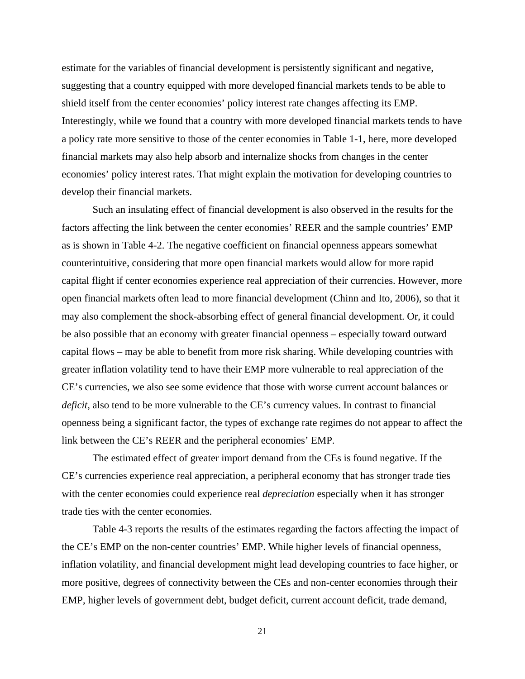estimate for the variables of financial development is persistently significant and negative, suggesting that a country equipped with more developed financial markets tends to be able to shield itself from the center economies' policy interest rate changes affecting its EMP. Interestingly, while we found that a country with more developed financial markets tends to have a policy rate more sensitive to those of the center economies in Table 1-1, here, more developed financial markets may also help absorb and internalize shocks from changes in the center economies' policy interest rates. That might explain the motivation for developing countries to develop their financial markets.

Such an insulating effect of financial development is also observed in the results for the factors affecting the link between the center economies' REER and the sample countries' EMP as is shown in Table 4-2. The negative coefficient on financial openness appears somewhat counterintuitive, considering that more open financial markets would allow for more rapid capital flight if center economies experience real appreciation of their currencies. However, more open financial markets often lead to more financial development (Chinn and Ito, 2006), so that it may also complement the shock-absorbing effect of general financial development. Or, it could be also possible that an economy with greater financial openness – especially toward outward capital flows – may be able to benefit from more risk sharing. While developing countries with greater inflation volatility tend to have their EMP more vulnerable to real appreciation of the CE's currencies, we also see some evidence that those with worse current account balances or *deficit*, also tend to be more vulnerable to the CE's currency values. In contrast to financial openness being a significant factor, the types of exchange rate regimes do not appear to affect the link between the CE's REER and the peripheral economies' EMP.

The estimated effect of greater import demand from the CEs is found negative. If the CE's currencies experience real appreciation, a peripheral economy that has stronger trade ties with the center economies could experience real *depreciation* especially when it has stronger trade ties with the center economies.

Table 4-3 reports the results of the estimates regarding the factors affecting the impact of the CE's EMP on the non-center countries' EMP. While higher levels of financial openness, inflation volatility, and financial development might lead developing countries to face higher, or more positive, degrees of connectivity between the CEs and non-center economies through their EMP, higher levels of government debt, budget deficit, current account deficit, trade demand,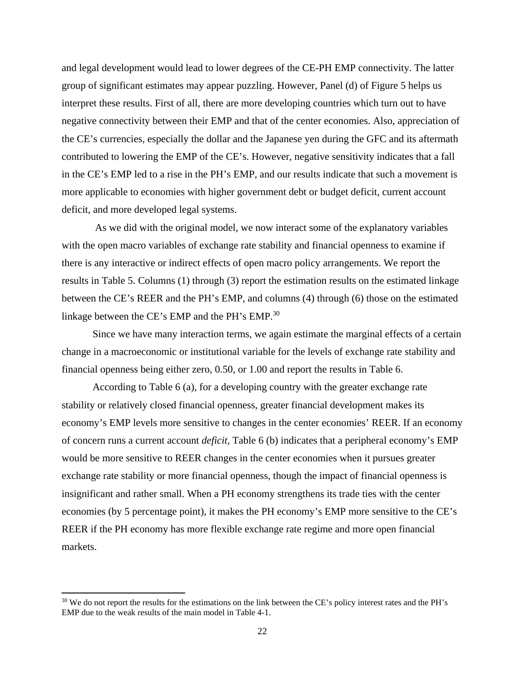and legal development would lead to lower degrees of the CE-PH EMP connectivity. The latter group of significant estimates may appear puzzling. However, Panel (d) of Figure 5 helps us interpret these results. First of all, there are more developing countries which turn out to have negative connectivity between their EMP and that of the center economies. Also, appreciation of the CE's currencies, especially the dollar and the Japanese yen during the GFC and its aftermath contributed to lowering the EMP of the CE's. However, negative sensitivity indicates that a fall in the CE's EMP led to a rise in the PH's EMP, and our results indicate that such a movement is more applicable to economies with higher government debt or budget deficit, current account deficit, and more developed legal systems.

 As we did with the original model, we now interact some of the explanatory variables with the open macro variables of exchange rate stability and financial openness to examine if there is any interactive or indirect effects of open macro policy arrangements. We report the results in Table 5. Columns (1) through (3) report the estimation results on the estimated linkage between the CE's REER and the PH's EMP, and columns (4) through (6) those on the estimated linkage between the CE's EMP and the PH's EMP.30

Since we have many interaction terms, we again estimate the marginal effects of a certain change in a macroeconomic or institutional variable for the levels of exchange rate stability and financial openness being either zero, 0.50, or 1.00 and report the results in Table 6.

According to Table 6 (a), for a developing country with the greater exchange rate stability or relatively closed financial openness, greater financial development makes its economy's EMP levels more sensitive to changes in the center economies' REER. If an economy of concern runs a current account *deficit,* Table 6 (b) indicates that a peripheral economy's EMP would be more sensitive to REER changes in the center economies when it pursues greater exchange rate stability or more financial openness, though the impact of financial openness is insignificant and rather small. When a PH economy strengthens its trade ties with the center economies (by 5 percentage point), it makes the PH economy's EMP more sensitive to the CE's REER if the PH economy has more flexible exchange rate regime and more open financial markets.

<sup>&</sup>lt;sup>30</sup> We do not report the results for the estimations on the link between the CE's policy interest rates and the PH's EMP due to the weak results of the main model in Table 4-1.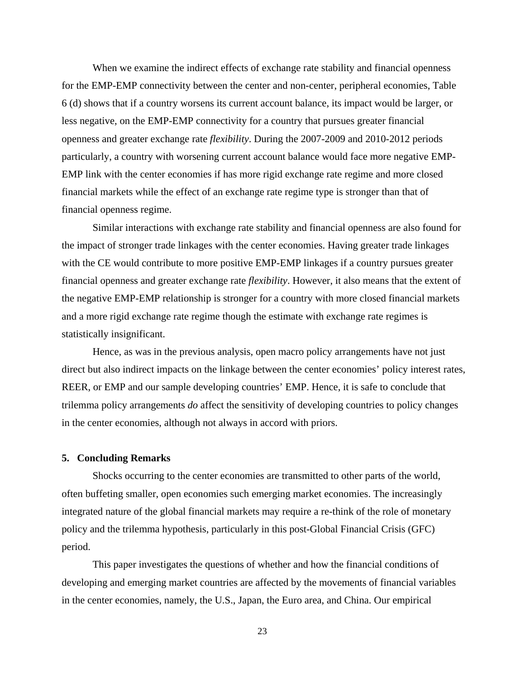When we examine the indirect effects of exchange rate stability and financial openness for the EMP-EMP connectivity between the center and non-center, peripheral economies, Table 6 (d) shows that if a country worsens its current account balance, its impact would be larger, or less negative, on the EMP-EMP connectivity for a country that pursues greater financial openness and greater exchange rate *flexibility*. During the 2007-2009 and 2010-2012 periods particularly, a country with worsening current account balance would face more negative EMP-EMP link with the center economies if has more rigid exchange rate regime and more closed financial markets while the effect of an exchange rate regime type is stronger than that of financial openness regime.

Similar interactions with exchange rate stability and financial openness are also found for the impact of stronger trade linkages with the center economies. Having greater trade linkages with the CE would contribute to more positive EMP-EMP linkages if a country pursues greater financial openness and greater exchange rate *flexibility*. However, it also means that the extent of the negative EMP-EMP relationship is stronger for a country with more closed financial markets and a more rigid exchange rate regime though the estimate with exchange rate regimes is statistically insignificant.

Hence, as was in the previous analysis, open macro policy arrangements have not just direct but also indirect impacts on the linkage between the center economies' policy interest rates, REER, or EMP and our sample developing countries' EMP. Hence, it is safe to conclude that trilemma policy arrangements *do* affect the sensitivity of developing countries to policy changes in the center economies, although not always in accord with priors.

#### **5. Concluding Remarks**

Shocks occurring to the center economies are transmitted to other parts of the world, often buffeting smaller, open economies such emerging market economies. The increasingly integrated nature of the global financial markets may require a re-think of the role of monetary policy and the trilemma hypothesis, particularly in this post-Global Financial Crisis (GFC) period.

This paper investigates the questions of whether and how the financial conditions of developing and emerging market countries are affected by the movements of financial variables in the center economies, namely, the U.S., Japan, the Euro area, and China. Our empirical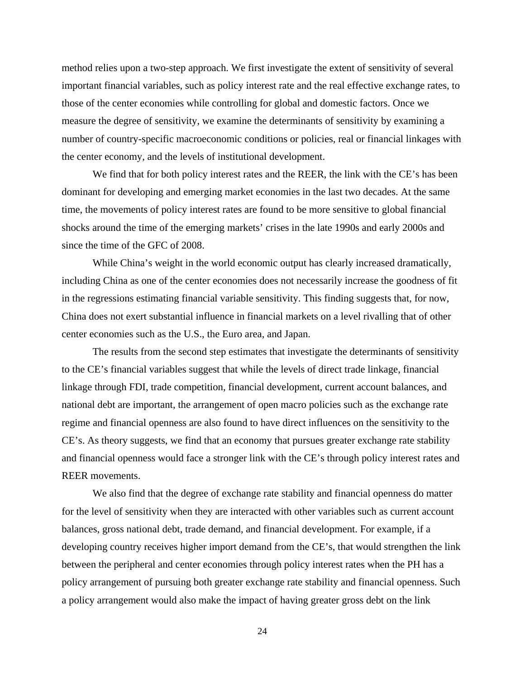method relies upon a two-step approach. We first investigate the extent of sensitivity of several important financial variables, such as policy interest rate and the real effective exchange rates, to those of the center economies while controlling for global and domestic factors. Once we measure the degree of sensitivity, we examine the determinants of sensitivity by examining a number of country-specific macroeconomic conditions or policies, real or financial linkages with the center economy, and the levels of institutional development.

We find that for both policy interest rates and the REER, the link with the CE's has been dominant for developing and emerging market economies in the last two decades. At the same time, the movements of policy interest rates are found to be more sensitive to global financial shocks around the time of the emerging markets' crises in the late 1990s and early 2000s and since the time of the GFC of 2008.

While China's weight in the world economic output has clearly increased dramatically, including China as one of the center economies does not necessarily increase the goodness of fit in the regressions estimating financial variable sensitivity. This finding suggests that, for now, China does not exert substantial influence in financial markets on a level rivalling that of other center economies such as the U.S., the Euro area, and Japan.

The results from the second step estimates that investigate the determinants of sensitivity to the CE's financial variables suggest that while the levels of direct trade linkage, financial linkage through FDI, trade competition, financial development, current account balances, and national debt are important, the arrangement of open macro policies such as the exchange rate regime and financial openness are also found to have direct influences on the sensitivity to the CE's. As theory suggests, we find that an economy that pursues greater exchange rate stability and financial openness would face a stronger link with the CE's through policy interest rates and REER movements.

We also find that the degree of exchange rate stability and financial openness do matter for the level of sensitivity when they are interacted with other variables such as current account balances, gross national debt, trade demand, and financial development. For example, if a developing country receives higher import demand from the CE's, that would strengthen the link between the peripheral and center economies through policy interest rates when the PH has a policy arrangement of pursuing both greater exchange rate stability and financial openness. Such a policy arrangement would also make the impact of having greater gross debt on the link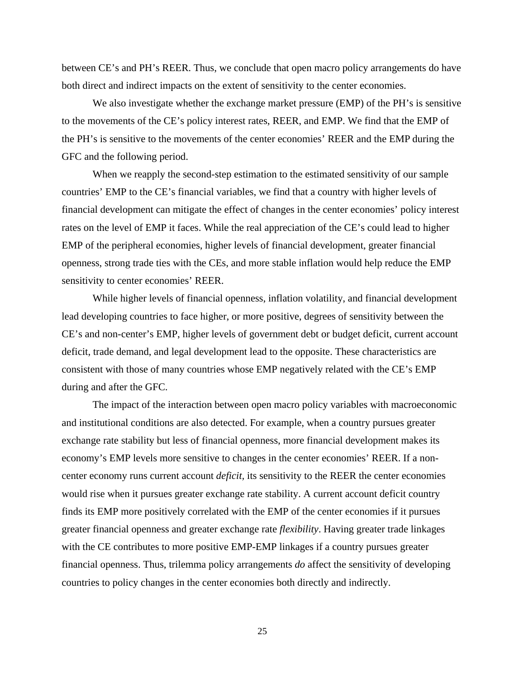between CE's and PH's REER. Thus, we conclude that open macro policy arrangements do have both direct and indirect impacts on the extent of sensitivity to the center economies.

We also investigate whether the exchange market pressure (EMP) of the PH's is sensitive to the movements of the CE's policy interest rates, REER, and EMP. We find that the EMP of the PH's is sensitive to the movements of the center economies' REER and the EMP during the GFC and the following period.

When we reapply the second-step estimation to the estimated sensitivity of our sample countries' EMP to the CE's financial variables, we find that a country with higher levels of financial development can mitigate the effect of changes in the center economies' policy interest rates on the level of EMP it faces. While the real appreciation of the CE's could lead to higher EMP of the peripheral economies, higher levels of financial development, greater financial openness, strong trade ties with the CEs, and more stable inflation would help reduce the EMP sensitivity to center economies' REER.

While higher levels of financial openness, inflation volatility, and financial development lead developing countries to face higher, or more positive, degrees of sensitivity between the CE's and non-center's EMP, higher levels of government debt or budget deficit, current account deficit, trade demand, and legal development lead to the opposite. These characteristics are consistent with those of many countries whose EMP negatively related with the CE's EMP during and after the GFC.

The impact of the interaction between open macro policy variables with macroeconomic and institutional conditions are also detected. For example, when a country pursues greater exchange rate stability but less of financial openness, more financial development makes its economy's EMP levels more sensitive to changes in the center economies' REER. If a noncenter economy runs current account *deficit,* its sensitivity to the REER the center economies would rise when it pursues greater exchange rate stability. A current account deficit country finds its EMP more positively correlated with the EMP of the center economies if it pursues greater financial openness and greater exchange rate *flexibility*. Having greater trade linkages with the CE contributes to more positive EMP-EMP linkages if a country pursues greater financial openness. Thus, trilemma policy arrangements *do* affect the sensitivity of developing countries to policy changes in the center economies both directly and indirectly.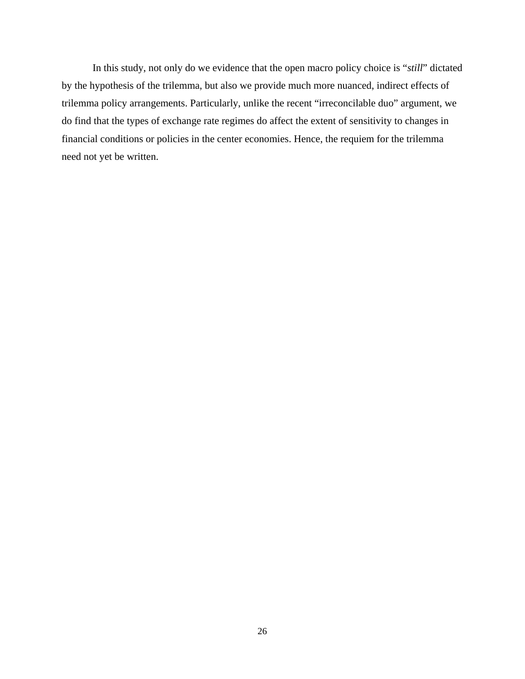In this study, not only do we evidence that the open macro policy choice is "*still*" dictated by the hypothesis of the trilemma, but also we provide much more nuanced, indirect effects of trilemma policy arrangements. Particularly, unlike the recent "irreconcilable duo" argument, we do find that the types of exchange rate regimes do affect the extent of sensitivity to changes in financial conditions or policies in the center economies. Hence, the requiem for the trilemma need not yet be written.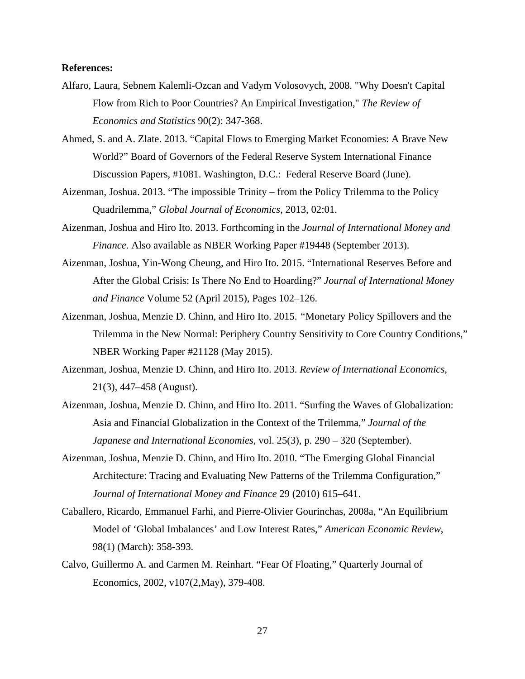#### **References:**

- Alfaro, Laura, Sebnem Kalemli-Ozcan and Vadym Volosovych, 2008. "Why Doesn't Capital Flow from Rich to Poor Countries? An Empirical Investigation," *The Review of Economics and Statistics* 90(2): 347-368.
- Ahmed, S. and A. Zlate. 2013. "Capital Flows to Emerging Market Economies: A Brave New World?" Board of Governors of the Federal Reserve System International Finance Discussion Papers, #1081. Washington, D.C.: Federal Reserve Board (June).
- Aizenman, Joshua. 2013. "The impossible Trinity from the Policy Trilemma to the Policy Quadrilemma," *Global Journal of Economics*, 2013, 02:01.
- Aizenman, Joshua and Hiro Ito. 2013. Forthcoming in the *Journal of International Money and Finance.* Also available as NBER Working Paper #19448 (September 2013).
- Aizenman, Joshua, Yin-Wong Cheung, and Hiro Ito. 2015. "International Reserves Before and After the Global Crisis: Is There No End to Hoarding?" *Journal of International Money and Finance* Volume 52 (April 2015), Pages 102–126.
- Aizenman, Joshua, Menzie D. Chinn, and Hiro Ito. 2015. *"*Monetary Policy Spillovers and the Trilemma in the New Normal: Periphery Country Sensitivity to Core Country Conditions," NBER Working Paper #21128 (May 2015).
- Aizenman, Joshua, Menzie D. Chinn, and Hiro Ito. 2013. *Review of International Economics*, 21(3), 447–458 (August).
- Aizenman, Joshua, Menzie D. Chinn, and Hiro Ito. 2011. "Surfing the Waves of Globalization: Asia and Financial Globalization in the Context of the Trilemma," *Journal of the Japanese and International Economies,* vol. 25(3), p. 290 – 320 (September).
- Aizenman, Joshua, Menzie D. Chinn, and Hiro Ito. 2010. "The Emerging Global Financial Architecture: Tracing and Evaluating New Patterns of the Trilemma Configuration," *Journal of International Money and Finance* 29 (2010) 615–641.
- Caballero, Ricardo, Emmanuel Farhi, and Pierre-Olivier Gourinchas, 2008a, "An Equilibrium Model of 'Global Imbalances' and Low Interest Rates," *American Economic Review*, 98(1) (March): 358-393.
- Calvo, Guillermo A. and Carmen M. Reinhart. "Fear Of Floating," Quarterly Journal of Economics, 2002, v107(2,May), 379-408.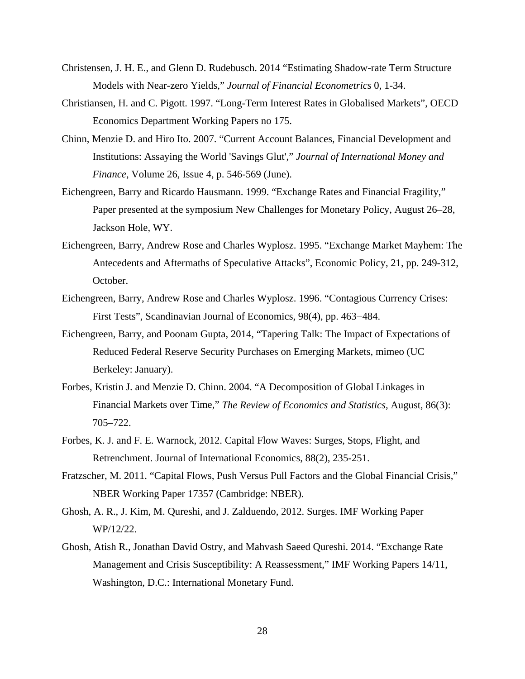- Christensen, J. H. E., and Glenn D. Rudebusch. 2014 "Estimating Shadow-rate Term Structure Models with Near-zero Yields," *Journal of Financial Econometrics* 0, 1-34.
- Christiansen, H. and C. Pigott. 1997. "Long-Term Interest Rates in Globalised Markets", OECD Economics Department Working Papers no 175.
- Chinn, Menzie D. and Hiro Ito. 2007. "Current Account Balances, Financial Development and Institutions: Assaying the World 'Savings Glut'," *Journal of International Money and Finance*, Volume 26, Issue 4, p. 546-569 (June).
- Eichengreen, Barry and Ricardo Hausmann. 1999. "Exchange Rates and Financial Fragility," Paper presented at the symposium New Challenges for Monetary Policy, August 26–28, Jackson Hole, WY.
- Eichengreen, Barry, Andrew Rose and Charles Wyplosz. 1995. "Exchange Market Mayhem: The Antecedents and Aftermaths of Speculative Attacks", Economic Policy, 21, pp. 249-312, October.
- Eichengreen, Barry, Andrew Rose and Charles Wyplosz. 1996. "Contagious Currency Crises: First Tests", Scandinavian Journal of Economics, 98(4), pp. 463−484.
- Eichengreen, Barry, and Poonam Gupta, 2014, "Tapering Talk: The Impact of Expectations of Reduced Federal Reserve Security Purchases on Emerging Markets, mimeo (UC Berkeley: January).
- Forbes, Kristin J. and Menzie D. Chinn. 2004. "A Decomposition of Global Linkages in Financial Markets over Time," *The Review of Economics and Statistics*, August, 86(3): 705–722.
- Forbes, K. J. and F. E. Warnock, 2012. Capital Flow Waves: Surges, Stops, Flight, and Retrenchment. Journal of International Economics, 88(2), 235-251.
- Fratzscher, M. 2011. "Capital Flows, Push Versus Pull Factors and the Global Financial Crisis," NBER Working Paper 17357 (Cambridge: NBER).
- Ghosh, A. R., J. Kim, M. Qureshi, and J. Zalduendo, 2012. Surges. IMF Working Paper WP/12/22.
- Ghosh, Atish R., Jonathan David Ostry, and Mahvash Saeed Qureshi. 2014. "Exchange Rate Management and Crisis Susceptibility: A Reassessment," IMF Working Papers 14/11, Washington, D.C.: International Monetary Fund.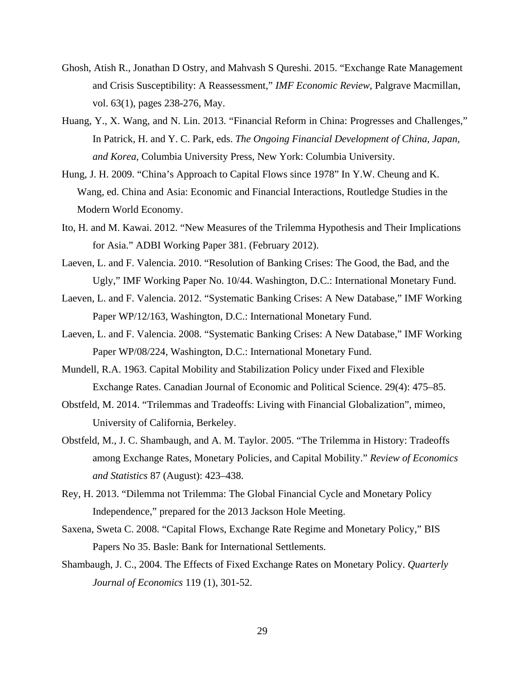- Ghosh, Atish R., Jonathan D Ostry, and Mahvash S Qureshi. 2015. "Exchange Rate Management and Crisis Susceptibility: A Reassessment," *IMF Economic Review*, Palgrave Macmillan, vol. 63(1), pages 238-276, May.
- Huang, Y., X. Wang, and N. Lin. 2013. "Financial Reform in China: Progresses and Challenges," In Patrick, H. and Y. C. Park, eds. *The Ongoing Financial Development of China, Japan, and Korea*, Columbia University Press, New York: Columbia University.
- Hung, J. H. 2009. "China's Approach to Capital Flows since 1978" In Y.W. Cheung and K. Wang, ed. China and Asia: Economic and Financial Interactions, Routledge Studies in the Modern World Economy.
- Ito, H. and M. Kawai. 2012. "New Measures of the Trilemma Hypothesis and Their Implications for Asia." ADBI Working Paper 381. (February 2012).
- Laeven, L. and F. Valencia. 2010. "Resolution of Banking Crises: The Good, the Bad, and the Ugly," IMF Working Paper No. 10/44. Washington, D.C.: International Monetary Fund.
- Laeven, L. and F. Valencia. 2012. "Systematic Banking Crises: A New Database," IMF Working Paper WP/12/163, Washington, D.C.: International Monetary Fund.
- Laeven, L. and F. Valencia. 2008. "Systematic Banking Crises: A New Database," IMF Working Paper WP/08/224, Washington, D.C.: International Monetary Fund.
- Mundell, R.A. 1963. Capital Mobility and Stabilization Policy under Fixed and Flexible Exchange Rates. Canadian Journal of Economic and Political Science. 29(4): 475–85.
- Obstfeld, M. 2014. "Trilemmas and Tradeoffs: Living with Financial Globalization", mimeo, University of California, Berkeley.
- Obstfeld, M., J. C. Shambaugh, and A. M. Taylor. 2005. "The Trilemma in History: Tradeoffs among Exchange Rates, Monetary Policies, and Capital Mobility." *Review of Economics and Statistics* 87 (August): 423–438.
- Rey, H. 2013. "Dilemma not Trilemma: The Global Financial Cycle and Monetary Policy Independence," prepared for the 2013 Jackson Hole Meeting.
- Saxena, Sweta C. 2008. "Capital Flows, Exchange Rate Regime and Monetary Policy," BIS Papers No 35. Basle: Bank for International Settlements.
- Shambaugh, J. C., 2004. The Effects of Fixed Exchange Rates on Monetary Policy. *Quarterly Journal of Economics* 119 (1), 301-52.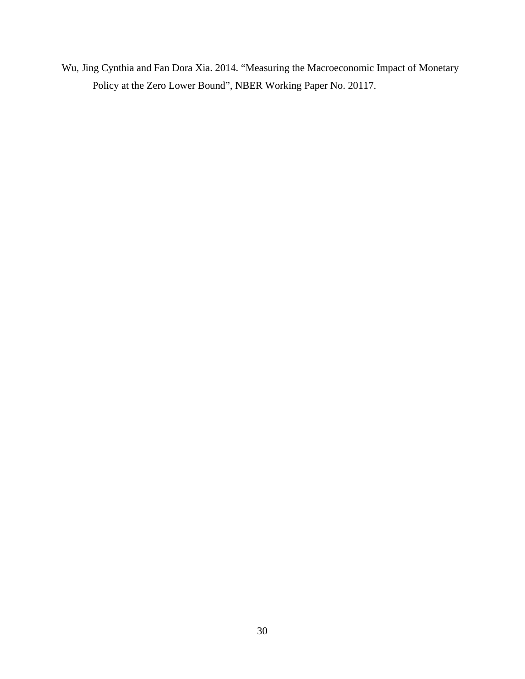Wu, Jing Cynthia and Fan Dora Xia. 2014. "Measuring the Macroeconomic Impact of Monetary Policy at the Zero Lower Bound", NBER Working Paper No. 20117.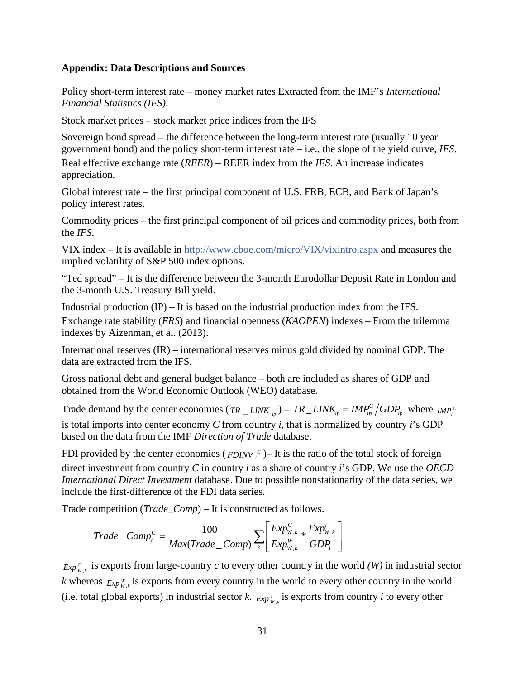# **Appendix: Data Descriptions and Sources**

Policy short-term interest rate – money market rates Extracted from the IMF's *International Financial Statistics (IFS)*.

Stock market prices – stock market price indices from the IFS

Sovereign bond spread – the difference between the long-term interest rate (usually 10 year government bond) and the policy short-term interest rate – i.e., the slope of the yield curve, *IFS*. Real effective exchange rate (*REER*) – REER index from the *IFS*. An increase indicates appreciation.

Global interest rate – the first principal component of U.S. FRB, ECB, and Bank of Japan's policy interest rates.

Commodity prices – the first principal component of oil prices and commodity prices, both from the *IFS*.

VIX index – It is available in http://www.cboe.com/micro/VIX/vixintro.aspx and measures the implied volatility of S&P 500 index options.

"Ted spread" – It is the difference between the 3-month Eurodollar Deposit Rate in London and the 3-month U.S. Treasury Bill yield.

Industrial production  $(\text{IP})$  – It is based on the industrial production index from the IFS. Exchange rate stability (*ERS*) and financial openness (*KAOPEN*) indexes – From the trilemma indexes by Aizenman, et al. (2013).

International reserves (IR) – international reserves minus gold divided by nominal GDP. The data are extracted from the IFS.

Gross national debt and general budget balance – both are included as shares of GDP and obtained from the World Economic Outlook (WEO) database.

Trade demand by the center economies ( $TR \perp LINK_{ip}$ ) –  $TR \perp LINK_{ip} = IMF_{ip}^C/GDP_{ip}$  where  $IMP_i^C$ is total imports into center economy *C* from country *i*, that is normalized by country *i*'s GDP based on the data from the IMF *Direction of Trade* database.

FDI provided by the center economies ( $FDINV$ <sup> $c$ </sup>) – It is the ratio of the total stock of foreign direct investment from country *C* in country *i* as a share of country *i*'s GDP. We use the *OECD International Direct Investment* database. Due to possible nonstationarity of the data series, we include the first-difference of the FDI data series.

Trade competition (*Trade\_Comp*) – It is constructed as follows.

$$
Trade\_Comp_i^C = \frac{100}{Max(Trade\_Comp)} \sum_{k} \left[ \frac{Exp_{W,k}^C}{Exp_{W,k}^W} * \frac{Exp_{W,k}^i}{GDP_i} \right]
$$

 $Exp_{W,k}^C$  is exports from large-country *c* to every other country in the world *(W)* in industrial sector *k* whereas  $Exp_{w,k}^w$  is exports from every country in the world to every other country in the world (i.e. total global exports) in industrial sector *k.*  $Exp_{w,k}^i$  is exports from country *i* to every other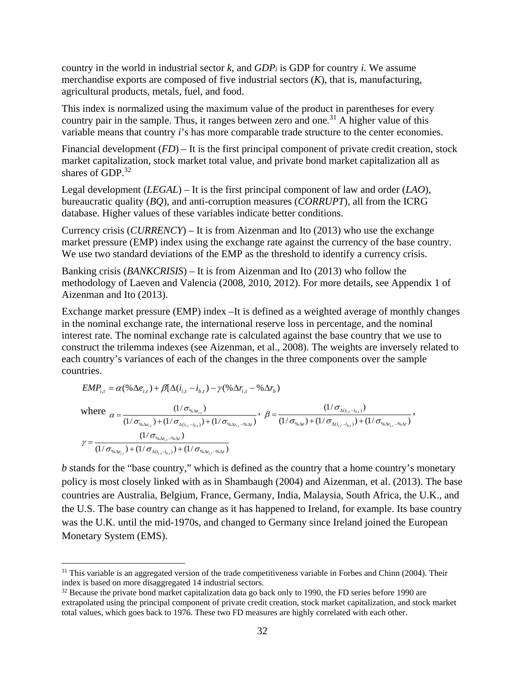country in the world in industrial sector  $k$ , and  $GDP_i$  is GDP for country  $i$ . We assume merchandise exports are composed of five industrial sectors (*K*), that is, manufacturing, agricultural products, metals, fuel, and food.

This index is normalized using the maximum value of the product in parentheses for every country pair in the sample. Thus, it ranges between zero and one*.* <sup>31</sup> A higher value of this variable means that country *i*'s has more comparable trade structure to the center economies.

Financial development (*FD*) – It is the first principal component of private credit creation, stock market capitalization, stock market total value, and private bond market capitalization all as shares of GDP.<sup>32</sup>

Legal development (*LEGAL*) – It is the first principal component of law and order (*LAO*), bureaucratic quality (*BQ*), and anti-corruption measures (*CORRUPT*), all from the ICRG database. Higher values of these variables indicate better conditions.

Currency crisis (*CURRENCY*) – It is from Aizenman and Ito (2013) who use the exchange market pressure (EMP) index using the exchange rate against the currency of the base country. We use two standard deviations of the EMP as the threshold to identify a currency crisis.

Banking crisis (*BANKCRISIS*) – It is from Aizenman and Ito (2013) who follow the methodology of Laeven and Valencia (2008, 2010, 2012). For more details, see Appendix 1 of Aizenman and Ito (2013).

Exchange market pressure (EMP) index –It is defined as a weighted average of monthly changes in the nominal exchange rate, the international reserve loss in percentage, and the nominal interest rate. The nominal exchange rate is calculated against the base country that we use to construct the trilemma indexes (see Aizenman, et al., 2008). The weights are inversely related to each country's variances of each of the changes in the three components over the sample countries.

$$
EMP_{i,t} = \alpha (\% \Delta e_{i,t}) + \beta [\Delta(i_{i,t} - i_{b,t}) - \gamma (\% \Delta r_{i,t} - \% \Delta r_b)]
$$
  
where  $\alpha = \frac{(1/\sigma_{\% \Delta e_{i,t}})}{\Delta r} \Rightarrow \beta = \frac{(1/\sigma_{\Delta(i_{i,t} - i_{b,t})})}{\Delta r}$ ,

where 
$$
\alpha = \frac{(1/\sigma_{\phi_{\Delta\alpha_{i,j}}})}{(1/\sigma_{\phi_{\Delta\alpha_{i,j}}}) + (1/\sigma_{\Delta(i_{i,j}-i_{b,j})}) + (1/\sigma_{\phi_{\Delta\gamma_{i,j}-\phi_{\Delta r}}})}, \ \beta = \frac{(1/\sigma_{\Delta(i_{i,j}-i_{b,j})})}{(1/\sigma_{\phi_{\Delta\gamma_{i,j}-\phi_{\Delta r}}}) + (1/\sigma_{\Delta(i_{i,j}-i_{b,j})}) + (1/\sigma_{\phi_{\Delta\gamma_{i,j}-\phi_{\Delta r}}})}
$$
\n
$$
\gamma = \frac{(1/\sigma_{\phi_{\Delta\gamma_{i,j}-\phi_{\Delta r}}})}{(1/\sigma_{\phi_{\Delta\gamma_{i,j}}}) + (1/\sigma_{\Delta(i_{i,j}-i_{b,j})}) + (1/\sigma_{\phi_{\Delta\gamma_{i,j}-\phi_{\Delta r}}})}
$$

*b* stands for the "base country," which is defined as the country that a home country's monetary policy is most closely linked with as in Shambaugh (2004) and Aizenman, et al. (2013). The base countries are Australia, Belgium, France, Germany, India, Malaysia, South Africa, the U.K., and the U.S. The base country can change as it has happened to Ireland, for example. Its base country was the U.K. until the mid-1970s, and changed to Germany since Ireland joined the European Monetary System (EMS).

 $31$  This variable is an aggregated version of the trade competitiveness variable in Forbes and Chinn (2004). Their index is based on more disaggregated 14 industrial sectors.

<sup>&</sup>lt;sup>32</sup> Because the private bond market capitalization data go back only to 1990, the FD series before 1990 are extrapolated using the principal component of private credit creation, stock market capitalization, and stock market total values, which goes back to 1976. These two FD measures are highly correlated with each other.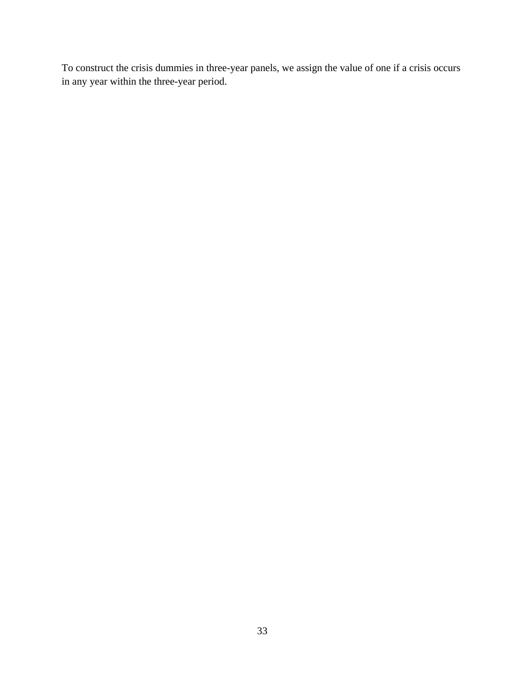To construct the crisis dummies in three-year panels, we assign the value of one if a crisis occurs in any year within the three-year period.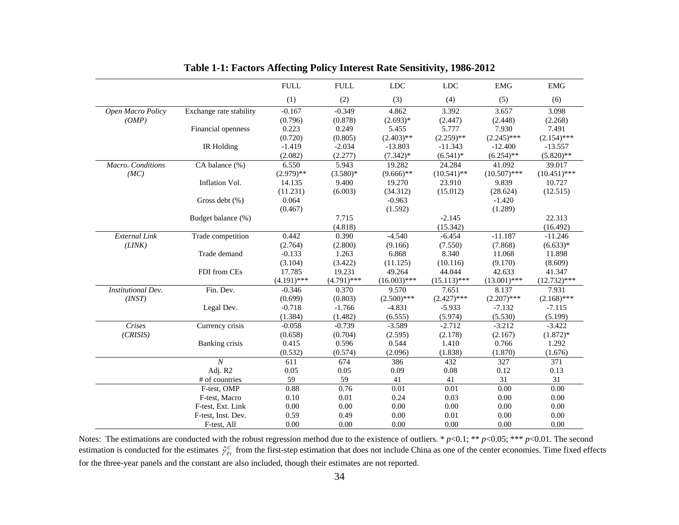|                           |                         | <b>FULL</b>   | <b>FULL</b>   | <b>LDC</b>     | <b>LDC</b>     | <b>EMG</b>     | <b>EMG</b>     |
|---------------------------|-------------------------|---------------|---------------|----------------|----------------|----------------|----------------|
|                           |                         | (1)           | (2)           | (3)            | (4)            | (5)            | (6)            |
| Open Macro Policy         | Exchange rate stability | $-0.167$      | $-0.349$      | 4.862          | 3.392          | 3.657          | 3.098          |
| (OMP)                     |                         | (0.796)       | (0.878)       | $(2.693)*$     | (2.447)        | (2.448)        | (2.268)        |
|                           | Financial openness      | 0.223         | 0.249         | 5.455          | 5.777          | 7.930          | 7.491          |
|                           |                         | (0.720)       | (0.805)       | $(2.403)$ **   | $(2.259)$ **   | $(2.245)$ ***  | $(2.154)$ ***  |
|                           | IR Holding              | $-1.419$      | $-2.034$      | $-13.803$      | $-11.343$      | $-12.400$      | $-13.557$      |
|                           |                         | (2.082)       | (2.277)       | $(7.342)*$     | $(6.541)*$     | $(6.254)$ **   | $(5.820)$ **   |
| Macro. Conditions         | CA balance (%)          | 6.550         | 5.943         | 19.282         | 24.284         | 41.092         | 39.017         |
| (MC)                      |                         | $(2.979)**$   | $(3.580)*$    | $(9.666)$ **   | $(10.541)$ **  | $(10.507)$ *** | $(10.451)$ *** |
|                           | Inflation Vol.          | 14.135        | 9.400         | 19.270         | 23.910         | 9.839          | 10.727         |
|                           |                         | (11.231)      | (6.003)       | (34.312)       | (15.012)       | (28.624)       | (12.515)       |
|                           | Gross debt (%)          | 0.064         |               | $-0.963$       |                | $-1.420$       |                |
|                           |                         | (0.467)       |               | (1.592)        |                | (1.289)        |                |
|                           | Budget balance (%)      |               | 7.715         |                | $-2.145$       |                | 22.313         |
|                           |                         |               | (4.818)       |                | (15.342)       |                | (16.492)       |
| <b>External Link</b>      | Trade competition       | 0.442         | 0.390         | $-4.540$       | $-6.454$       | $-11.187$      | $-11.246$      |
| (LINK)                    |                         | (2.764)       | (2.800)       | (9.166)        | (7.550)        | (7.868)        | $(6.633)*$     |
|                           | Trade demand            | $-0.133$      | 1.263         | 6.868          | 8.340          | 11.068         | 11.898         |
|                           |                         | (3.104)       | (3.422)       | (11.125)       | (10.116)       | (9.170)        | (8.609)        |
|                           | FDI from CEs            | 17.785        | 19.231        | 49.264         | 44.044         | 42.633         | 41.347         |
|                           |                         | $(4.191)$ *** | $(4.791)$ *** | $(16.003)$ *** | $(15.113)$ *** | $(13.001)$ *** | $(12.732)$ *** |
| <b>Institutional Dev.</b> | Fin. Dev.               | $-0.346$      | 0.370         | 9.570          | 7.651          | 8.137          | 7.931          |
| (INST)                    |                         | (0.699)       | (0.803)       | $(2.500)$ ***  | $(2.427)$ ***  | $(2.207)$ ***  | $(2.168)$ ***  |
|                           | Legal Dev.              | $-0.718$      | $-1.766$      | $-4.831$       | $-5.933$       | $-7.132$       | $-7.115$       |
|                           |                         | (1.384)       | (1.482)       | (6.555)        | (5.974)        | (5.530)        | (5.199)        |
| Crises                    | Currency crisis         | $-0.058$      | $-0.739$      | $-3.589$       | $-2.712$       | $-3.212$       | $-3.422$       |
| (CRISIS)                  |                         | (0.658)       | (0.704)       | (2.595)        | (2.178)        | (2.167)        | $(1.872)*$     |
|                           | Banking crisis          | 0.415         | 0.596         | 0.544          | 1.410          | 0.766          | 1.292          |
|                           |                         | (0.532)       | (0.574)       | (2.096)        | (1.838)        | (1.870)        | (1.676)        |
|                           | $\overline{N}$          | 611           | 674           | 386            | 432            | 327            | 371            |
|                           | Adj. R <sub>2</sub>     | 0.05          | 0.05          | 0.09           | 0.08           | 0.12           | 0.13           |
|                           | # of countries          | 59            | 59            | 41             | 41             | 31             | 31             |
|                           | F-test, OMP             | 0.88          | 0.76          | 0.01           | 0.01           | 0.00           | 0.00           |
|                           | F-test, Macro           | 0.10          | 0.01          | 0.24           | 0.03           | $0.00\,$       | $0.00\,$       |
|                           | F-test, Ext. Link       | $0.00\,$      | 0.00          | 0.00           | 0.00           | 0.00           | $0.00\,$       |
|                           | F-test, Inst. Dev.      | 0.59          | 0.49          | 0.00           | 0.01           | 0.00           | 0.00           |
|                           | F-test, All             | 0.00          | 0.00          | 0.00           | 0.00           | 0.00           | 0.00           |

**Table 1-1: Factors Affecting Policy Interest Rate Sensitivity, 1986-2012** 

Notes: The estimations are conducted with the robust regression method due to the existence of outliers. \* *p*<0.1; \*\* *p*<0.05; \*\*\* *p*<0.01. The second estimation is conducted for the estimates  $\hat{\gamma}_{F_i}^c$  from the first-step estimation that does not include China as one of the center economies. Time fixed effects for the three-year panels and the constant are also included, though their estimates are not reported.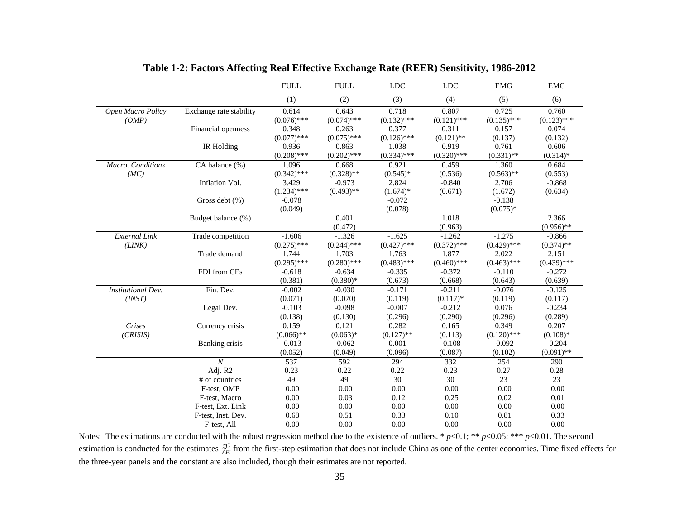|                      |                         | <b>FULL</b>   | <b>FULL</b>   | <b>LDC</b>    | <b>LDC</b>    | <b>EMG</b>    | <b>EMG</b>    |
|----------------------|-------------------------|---------------|---------------|---------------|---------------|---------------|---------------|
|                      |                         | (1)           | (2)           | (3)           | (4)           | (5)           | (6)           |
| Open Macro Policy    | Exchange rate stability | 0.614         | 0.643         | 0.718         | 0.807         | 0.725         | 0.760         |
| (OMP)                |                         | $(0.076)$ *** | $(0.074)$ *** | $(0.132)$ *** | $(0.121)$ *** | $(0.135)$ *** | $(0.123)$ *** |
|                      | Financial openness      | 0.348         | 0.263         | 0.377         | 0.311         | 0.157         | 0.074         |
|                      |                         | $(0.077)$ *** | $(0.075)$ *** | $(0.126)$ *** | $(0.121)$ **  | (0.137)       | (0.132)       |
|                      | IR Holding              | 0.936         | 0.863         | 1.038         | 0.919         | 0.761         | 0.606         |
|                      |                         | $(0.208)$ *** | $(0.202)$ *** | $(0.334)$ *** | $(0.320)$ *** | $(0.331)$ **  | $(0.314)*$    |
| Macro. Conditions    | CA balance (%)          | 1.096         | 0.668         | 0.921         | 0.459         | 1.360         | 0.684         |
| (MC)                 |                         | $(0.342)$ *** | $(0.328)$ **  | $(0.545)*$    | (0.536)       | $(0.563)$ **  | (0.553)       |
|                      | Inflation Vol.          | 3.429         | $-0.973$      | 2.824         | $-0.840$      | 2.706         | $-0.868$      |
|                      |                         | $(1.234)$ *** | $(0.493)$ **  | $(1.674)*$    | (0.671)       | (1.672)       | (0.634)       |
|                      | Gross debt (%)          | $-0.078$      |               | $-0.072$      |               | $-0.138$      |               |
|                      |                         | (0.049)       |               | (0.078)       |               | $(0.075)*$    |               |
|                      | Budget balance (%)      |               | 0.401         |               | 1.018         |               | 2.366         |
|                      |                         |               | (0.472)       |               | (0.963)       |               | $(0.956)$ **  |
| <b>External Link</b> | Trade competition       | $-1.606$      | $-1.326$      | $-1.625$      | $-1.262$      | $-1.275$      | $-0.866$      |
| (LINK)               |                         | $(0.275)$ *** | $(0.244)$ *** | $(0.427)$ *** | $(0.372)$ *** | $(0.429)$ *** | $(0.374)$ **  |
|                      | Trade demand            | 1.744         | 1.703         | 1.763         | 1.877         | 2.022         | 2.151         |
|                      |                         | $(0.295)$ *** | $(0.280)$ *** | $(0.483)$ *** | $(0.460)$ *** | $(0.463)$ *** | $(0.439)$ *** |
|                      | FDI from CEs            | $-0.618$      | $-0.634$      | $-0.335$      | $-0.372$      | $-0.110$      | $-0.272$      |
|                      |                         | (0.381)       | $(0.380)*$    | (0.673)       | (0.668)       | (0.643)       | (0.639)       |
| Institutional Dev.   | Fin. Dev.               | $-0.002$      | $-0.030$      | $-0.171$      | $-0.211$      | $-0.076$      | $-0.125$      |
| (INST)               |                         | (0.071)       | (0.070)       | (0.119)       | $(0.117)*$    | (0.119)       | (0.117)       |
|                      | Legal Dev.              | $-0.103$      | $-0.098$      | $-0.007$      | $-0.212$      | 0.076         | $-0.234$      |
|                      |                         | (0.138)       | (0.130)       | (0.296)       | (0.290)       | (0.296)       | (0.289)       |
| Crises               | Currency crisis         | 0.159         | 0.121         | 0.282         | 0.165         | 0.349         | 0.207         |
| (CRISIS)             |                         | $(0.066)$ **  | $(0.063)*$    | $(0.127)$ **  | (0.113)       | $(0.120)$ *** | $(0.108)*$    |
|                      | Banking crisis          | $-0.013$      | $-0.062$      | 0.001         | $-0.108$      | $-0.092$      | $-0.204$      |
|                      |                         | (0.052)       | (0.049)       | (0.096)       | (0.087)       | (0.102)       | $(0.091)$ **  |
|                      | $\overline{N}$          | 537           | 592           | 294           | 332           | 254           | 290           |
|                      | Adj. R2                 | 0.23          | 0.22          | 0.22          | 0.23          | 0.27          | 0.28          |
|                      | # of countries          | 49            | 49            | 30            | 30            | 23            | 23            |
|                      | F-test, OMP             | 0.00          | 0.00          | 0.00          | 0.00          | 0.00          | 0.00          |
|                      | F-test, Macro           | 0.00          | 0.03          | 0.12          | 0.25          | 0.02          | $0.01\,$      |
|                      | F-test, Ext. Link       | $0.00\,$      | 0.00          | 0.00          | 0.00          | $0.00\,$      | 0.00          |
|                      | F-test, Inst. Dev.      | 0.68          | 0.51          | 0.33          | 0.10          | 0.81          | 0.33          |
|                      | F-test, All             | 0.00          | 0.00          | 0.00          | 0.00          | 0.00          | 0.00          |

| Table 1-2: Factors Affecting Real Effective Exchange Rate (REER) Sensitivity, 1986-2012 |  |  |
|-----------------------------------------------------------------------------------------|--|--|
|                                                                                         |  |  |

Notes: The estimations are conducted with the robust regression method due to the existence of outliers. \* *p*<0.1; \*\* *p*<0.05; \*\*\* *p*<0.01. The second estimation is conducted for the estimates  $\hat{\gamma}_{F_i}^C$  from the first-step estimation that does not include China as one of the center economies. Time fixed effects for the three-year panels and the constant are also included, though their estimates are not reported.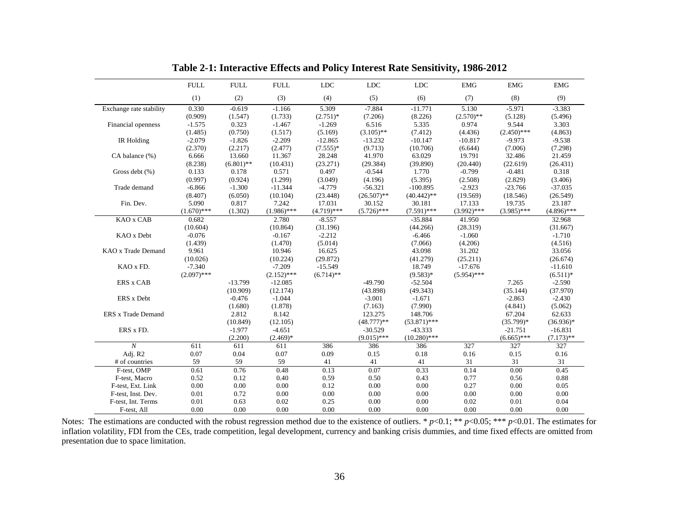|                         | <b>FULL</b>   | <b>FULL</b>  | <b>FULL</b>   | <b>LDC</b>    | <b>LDC</b>    | <b>LDC</b>     | <b>EMG</b>    | <b>EMG</b>    | <b>EMG</b>    |
|-------------------------|---------------|--------------|---------------|---------------|---------------|----------------|---------------|---------------|---------------|
|                         | (1)           | (2)          | (3)           | (4)           | (5)           | (6)            | (7)           | (8)           | (9)           |
| Exchange rate stability | 0.330         | $-0.619$     | $-1.166$      | 5.309         | $-7.884$      | $-11.771$      | 5.130         | $-5.971$      | $-3.383$      |
|                         | (0.909)       | (1.547)      | (1.733)       | $(2.751)^*$   | (7.206)       | (8.226)        | $(2.570)$ **  | (5.128)       | (5.496)       |
| Financial openness      | $-1.575$      | 0.323        | $-1.467$      | $-1.269$      | 6.516         | 5.335          | 0.974         | 9.544         | 3.303         |
|                         | (1.485)       | (0.750)      | (1.517)       | (5.169)       | $(3.105)$ **  | (7.412)        | (4.436)       | $(2.450)$ *** | (4.863)       |
| IR Holding              | $-2.079$      | $-1.826$     | $-2.209$      | $-12.865$     | $-13.232$     | $-10.147$      | $-10.817$     | $-9.973$      | $-9.538$      |
|                         | (2.370)       | (2.217)      | (2.477)       | $(7.555)*$    | (9.713)       | (10.706)       | (6.644)       | (7.006)       | (7.298)       |
| CA balance (%)          | 6.666         | 13.660       | 11.367        | 28.248        | 41.970        | 63.029         | 19.791        | 32.486        | 21.459        |
|                         | (8.238)       | $(6.801)$ ** | (10.431)      | (23.271)      | (29.384)      | (39.890)       | (20.440)      | (22.619)      | (26.431)      |
| Gross debt (%)          | 0.133         | 0.178        | 0.571         | 0.497         | $-0.544$      | 1.770          | $-0.799$      | $-0.481$      | 0.318         |
|                         | (0.997)       | (0.924)      | (1.299)       | (3.049)       | (4.196)       | (5.395)        | (2.508)       | (2.829)       | (3.406)       |
| Trade demand            | $-6.866$      | $-1.300$     | $-11.344$     | $-4.779$      | $-56.321$     | $-100.895$     | $-2.923$      | $-23.766$     | $-37.035$     |
|                         | (8.407)       | (6.050)      | (10.104)      | (23.448)      | $(26.507)$ ** | $(40.442)$ **  | (19.569)      | (18.546)      | (26.549)      |
| Fin. Dev.               | 5.090         | 0.817        | 7.242         | 17.031        | 30.152        | 30.181         | 17.133        | 19.735        | 23.187        |
|                         | $(1.670)$ *** | (1.302)      | $(1.986)$ *** | $(4.719)$ *** | $(5.726)$ *** | $(7.591)$ ***  | $(3.992)$ *** | $(3.985)$ *** | $(4.896)$ *** |
| KAO x CAB               | 0.682         |              | 2.780         | $-8.557$      |               | $-35.884$      | 41.950        |               | 32.968        |
|                         | (10.604)      |              | (10.864)      | (31.196)      |               | (44.266)       | (28.319)      |               | (31.667)      |
| KAO x Debt              | $-0.076$      |              | $-0.167$      | $-2.212$      |               | $-6.466$       | $-1.060$      |               | $-1.710$      |
|                         | (1.439)       |              | (1.470)       | (5.014)       |               | (7.066)        | (4.206)       |               | (4.516)       |
| KAO x Trade Demand      | 9.961         |              | 10.946        | 16.625        |               | 43.098         | 31.202        |               | 33.056        |
|                         | (10.026)      |              | (10.224)      | (29.872)      |               | (41.279)       | (25.211)      |               | (26.674)      |
| KAO x FD.               | $-7.340$      |              | $-7.209$      | $-15.549$     |               | 18.749         | $-17.676$     |               | $-11.610$     |
|                         | $(2.097)$ *** |              | $(2.152)$ *** | $(6.714)$ **  |               | $(9.583)*$     | $(5.954)$ *** |               | $(6.511)*$    |
| ERS x CAB               |               | $-13.799$    | $-12.085$     |               | $-49.790$     | $-52.504$      |               | 7.265         | $-2.590$      |
|                         |               | (10.909)     | (12.174)      |               | (43.898)      | (49.343)       |               | (35.144)      | (37.970)      |
| ERS x Debt              |               | $-0.476$     | $-1.044$      |               | $-3.001$      | $-1.671$       |               | $-2.863$      | $-2.430$      |
|                         |               | (1.680)      | (1.878)       |               | (7.163)       | (7.990)        |               | (4.841)       | (5.062)       |
| ERS x Trade Demand      |               | 2.812        | 8.142         |               | 123.275       | 148.706        |               | 67.204        | 62.633        |
|                         |               | (10.849)     | (12.105)      |               | $(48.777)**$  | $(53.871)$ *** |               | $(35.799)*$   | $(36.936)*$   |
| ERS x FD.               |               | $-1.977$     | $-4.651$      |               | $-30.529$     | $-43.333$      |               | $-21.751$     | $-16.831$     |
|                         |               | (2.200)      | $(2.469)*$    |               | $(9.015)$ *** | $(10.280)$ *** |               | $(6.665)$ *** | $(7.173)$ **  |
| $\overline{N}$          | 611           | 611          | 611           | 386           | 386           | 386            | 327           | 327           | 327           |
| Adj. R2                 | 0.07          | 0.04         | 0.07          | 0.09          | 0.15          | 0.18           | 0.16          | 0.15          | 0.16          |
| # of countries          | 59            | 59           | 59            | 41            | 41            | 41             | 31            | 31            | 31            |
| F-test, OMP             | 0.61          | 0.76         | 0.48          | 0.13          | 0.07          | 0.33           | 0.14          | 0.00          | 0.45          |
| F-test, Macro           | 0.52          | 0.12         | 0.40          | 0.59          | 0.50          | 0.43           | 0.77          | 0.56          | 0.88          |
| F-test, Ext. Link       | 0.00          | 0.00         | 0.00          | 0.12          | 0.00          | 0.00           | 0.27          | 0.00          | 0.05          |
| F-test, Inst. Dev.      | 0.01          | 0.72         | 0.00          | 0.00          | 0.00          | 0.00           | 0.00          | 0.00          | 0.00          |
| F-test, Int. Terms      | 0.01          | 0.63         | 0.02          | 0.25          | 0.00          | 0.00           | 0.02          | 0.01          | 0.04          |
| F-test, All             | 0.00          | 0.00         | 0.00          | 0.00          | 0.00          | 0.00           | 0.00          | 0.00          | 0.00          |

**Table 2-1: Interactive Effects and Policy Interest Rate Sensitivity, 1986-2012** 

Notes: The estimations are conducted with the robust regression method due to the existence of outliers. \* *p*<0.1; \*\* *p*<0.05; \*\*\* *p*<0.01. The estimates for inflation volatility, FDI from the CEs, trade competition, legal development, currency and banking crisis dummies, and time fixed effects are omitted from presentation due to space limitation.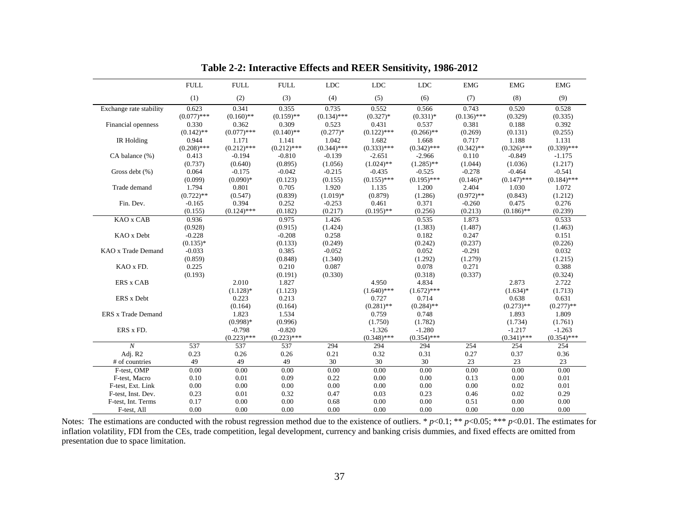|                         | <b>FULL</b>   | <b>FULL</b>   | <b>FULL</b>   | <b>LDC</b>    | <b>LDC</b>    | <b>LDC</b>    | <b>EMG</b>    | <b>EMG</b>    | <b>EMG</b>    |
|-------------------------|---------------|---------------|---------------|---------------|---------------|---------------|---------------|---------------|---------------|
|                         | (1)           | (2)           | (3)           | (4)           | (5)           | (6)           | (7)           | (8)           | (9)           |
| Exchange rate stability | 0.623         | 0.341         | 0.355         | 0.735         | 0.552         | 0.566         | 0.743         | 0.520         | 0.528         |
|                         | $(0.077)$ *** | $(0.160)$ **  | $(0.159)$ **  | $(0.134)$ *** | $(0.327)*$    | $(0.331)*$    | $(0.136)$ *** | (0.329)       | (0.335)       |
| Financial openness      | 0.330         | 0.362         | 0.309         | 0.523         | 0.431         | 0.537         | 0.381         | 0.188         | 0.392         |
|                         | $(0.142)$ **  | $(0.077)$ *** | $(0.140)$ **  | $(0.277)*$    | $(0.122)$ *** | $(0.266)$ **  | (0.269)       | (0.131)       | (0.255)       |
| IR Holding              | 0.944         | 1.171         | 1.141         | 1.042         | 1.682         | 1.668         | 0.717         | 1.188         | 1.131         |
|                         | $(0.208)$ *** | $(0.212)$ *** | $(0.212)$ *** | $(0.344)$ *** | $(0.333)$ *** | $(0.342)$ *** | $(0.342)$ **  | $(0.326)$ *** | $(0.339)$ *** |
| CA balance (%)          | 0.413         | $-0.194$      | $-0.810$      | $-0.139$      | $-2.651$      | $-2.966$      | 0.110         | $-0.849$      | $-1.175$      |
|                         | (0.737)       | (0.640)       | (0.895)       | (1.056)       | $(1.024)$ **  | $(1.285)$ **  | (1.044)       | (1.036)       | (1.217)       |
| Gross debt (%)          | 0.064         | $-0.175$      | $-0.042$      | $-0.215$      | $-0.435$      | $-0.525$      | $-0.278$      | $-0.464$      | $-0.541$      |
|                         | (0.099)       | $(0.090)*$    | (0.123)       | (0.155)       | $(0.155)$ *** | $(0.195)$ *** | $(0.146)$ *   | $(0.147)$ *** | $(0.184)$ *** |
| Trade demand            | 1.794         | 0.801         | 0.705         | 1.920         | 1.135         | 1.200         | 2.404         | 1.030         | 1.072         |
|                         | $(0.722)$ **  | (0.547)       | (0.839)       | $(1.019)*$    | (0.879)       | (1.286)       | $(0.972)$ **  | (0.843)       | (1.212)       |
| Fin. Dev.               | $-0.165$      | 0.394         | 0.252         | $-0.253$      | 0.461         | 0.371         | $-0.260$      | 0.475         | 0.276         |
|                         | (0.155)       | $(0.124)$ *** | (0.182)       | (0.217)       | $(0.195)$ **  | (0.256)       | (0.213)       | $(0.186)$ **  | (0.239)       |
| KAO x CAB               | 0.936         |               | 0.975         | 1.426         |               | 0.535         | 1.873         |               | 0.533         |
|                         | (0.928)       |               | (0.915)       | (1.424)       |               | (1.383)       | (1.487)       |               | (1.463)       |
| KAO x Debt              | $-0.228$      |               | $-0.208$      | 0.258         |               | 0.182         | 0.247         |               | 0.151         |
|                         | $(0.135)*$    |               | (0.133)       | (0.249)       |               | (0.242)       | (0.237)       |               | (0.226)       |
| KAO x Trade Demand      | $-0.033$      |               | 0.385         | $-0.052$      |               | 0.052         | $-0.291$      |               | 0.032         |
|                         | (0.859)       |               | (0.848)       | (1.340)       |               | (1.292)       | (1.279)       |               | (1.215)       |
| KAO x FD.               | 0.225         |               | 0.210         | 0.087         |               | 0.078         | 0.271         |               | 0.388         |
|                         | (0.193)       |               | (0.191)       | (0.330)       |               | (0.318)       | (0.337)       |               | (0.324)       |
| ERS x CAB               |               | 2.010         | 1.827         |               | 4.950         | 4.834         |               | 2.873         | 2.722         |
|                         |               | $(1.128)$ *   | (1.123)       |               | $(1.640)$ *** | $(1.672)$ *** |               | $(1.634)*$    | (1.713)       |
| ERS x Debt              |               | 0.223         | 0.213         |               | 0.727         | 0.714         |               | 0.638         | 0.631         |
|                         |               | (0.164)       | (0.164)       |               | $(0.281)$ **  | $(0.284)$ **  |               | $(0.273)$ **  | $(0.277)$ **  |
| ERS x Trade Demand      |               | 1.823         | 1.534         |               | 0.759         | 0.748         |               | 1.893         | 1.809         |
|                         |               | $(0.998)*$    | (0.996)       |               | (1.750)       | (1.782)       |               | (1.734)       | (1.761)       |
| ERS x FD.               |               | $-0.798$      | $-0.820$      |               | $-1.326$      | $-1.280$      |               | $-1.217$      | $-1.263$      |
|                         |               | $(0.223)$ *** | $(0.223)$ *** |               | $(0.348)$ *** | $(0.354)$ *** |               | $(0.341)$ *** | $(0.354)$ *** |
| $\overline{N}$          | 537           | 537           | 537           | 294           | 294           | 294           | 254           | 254           | 254           |
| Adj. R2                 | 0.23          | 0.26          | 0.26          | 0.21          | 0.32          | 0.31          | 0.27          | 0.37          | 0.36          |
| # of countries          | 49            | 49            | 49            | 30            | 30            | 30            | 23            | 23            | 23            |
| F-test, OMP             | 0.00          | 0.00          | 0.00          | 0.00          | 0.00          | 0.00          | 0.00          | 0.00          | 0.00          |
| F-test, Macro           | 0.10          | $0.01\,$      | 0.09          | 0.22          | 0.00          | 0.00          | 0.13          | 0.00          | 0.01          |
| F-test, Ext. Link       | 0.00          | 0.00          | 0.00          | 0.00          | 0.00          | 0.00          | 0.00          | 0.02          | 0.01          |
| F-test, Inst. Dev.      | 0.23          | 0.01          | 0.32          | 0.47          | 0.03          | 0.23          | 0.46          | 0.02          | 0.29          |
| F-test, Int. Terms      | 0.17          | 0.00          | 0.00          | 0.68          | 0.00          | 0.00          | 0.51          | 0.00          | 0.00          |
| F-test, All             | 0.00          | 0.00          | 0.00          | 0.00          | 0.00          | 0.00          | 0.00          | 0.00          | 0.00          |

**Table 2-2: Interactive Effects and REER Sensitivity, 1986-2012** 

Notes: The estimations are conducted with the robust regression method due to the existence of outliers. \* *p*<0.1; \*\* *p*<0.05; \*\*\* *p*<0.01. The estimates for inflation volatility, FDI from the CEs, trade competition, legal development, currency and banking crisis dummies, and fixed effects are omitted from presentation due to space limitation.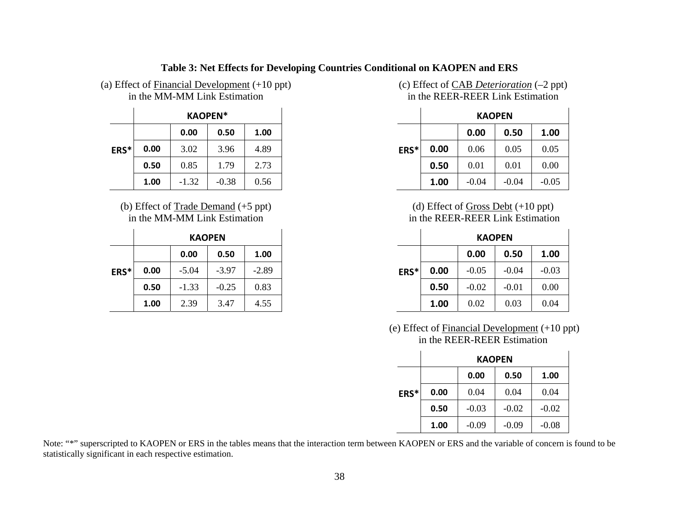# **Table 3: Net Effects for Developing Countries Conditional on KAOPEN and ERS**

(a) Effect of Financial Development (+10 ppt) in the MM-MM Link Estimation

|      | <b>KAOPEN*</b> |              |         |      |  |  |
|------|----------------|--------------|---------|------|--|--|
|      |                | 0.00         | 0.50    | 1.00 |  |  |
| ERS* | 0.00           | 3.02<br>3.96 |         | 4.89 |  |  |
|      | 0.50           | 0.85         | 1.79    | 2.73 |  |  |
|      | 1.00           | $-1.32$      | $-0.38$ | 0.56 |  |  |

(b) Effect of Trade Demand (+5 ppt) in the MM-MM Link Estimation

|      |      | <b>KAOPEN</b>        |         |         |  |  |  |  |  |
|------|------|----------------------|---------|---------|--|--|--|--|--|
|      |      | 0.00<br>0.50<br>1.00 |         |         |  |  |  |  |  |
| ERS* | 0.00 | $-5.04$              | $-3.97$ | $-2.89$ |  |  |  |  |  |
|      | 0.50 | $-1.33$              | $-0.25$ | 0.83    |  |  |  |  |  |
|      | 1.00 | 2.39                 | 3.47    | 4.55    |  |  |  |  |  |

(c) Effect of CAB *Deterioration* (–2 ppt) in the REER-REER Link Estimation

|       | <b>KAOPEN</b> |                      |         |         |  |  |  |  |  |
|-------|---------------|----------------------|---------|---------|--|--|--|--|--|
|       |               | 0.00<br>0.50<br>1.00 |         |         |  |  |  |  |  |
| ERS*1 | 0.00          | 0.06                 | 0.05    | 0.05    |  |  |  |  |  |
|       | 0.50          | 0.01                 | 0.01    | 0.00    |  |  |  |  |  |
|       | 1.00          | $-0.04$              | $-0.04$ | $-0.05$ |  |  |  |  |  |

(d) Effect of Gross Debt (+10 ppt) in the REER-REER Link Estimation

|      |      |                    | <b>KAOPEN</b><br>0.00<br>0.50<br>1.00 |         |  |  |  |  |
|------|------|--------------------|---------------------------------------|---------|--|--|--|--|
|      |      |                    |                                       |         |  |  |  |  |
| ERS* | 0.00 | $-0.05$<br>$-0.04$ |                                       | $-0.03$ |  |  |  |  |
|      | 0.50 | $-0.02$            | $-0.01$                               | 0.00    |  |  |  |  |
|      | 1.00 | 0.02               | 0.03                                  | 0.04    |  |  |  |  |

 (e) Effect of Financial Development (+10 ppt) in the REER-REER Estimation

|             |      | <b>KAOPEN</b> |         |         |  |  |  |
|-------------|------|---------------|---------|---------|--|--|--|
|             |      | 0.00          | 0.50    | 1.00    |  |  |  |
| <b>ERS*</b> | 0.00 | 0.04          | 0.04    | 0.04    |  |  |  |
|             | 0.50 | $-0.03$       | $-0.02$ | $-0.02$ |  |  |  |
|             | 1.00 | $-0.09$       | $-0.09$ | $-0.08$ |  |  |  |

Note: "\*" superscripted to KAOPEN or ERS in the tables means that the interaction term between KAOPEN or ERS and the variable of concern is found to be statistically significant in each respective estimation.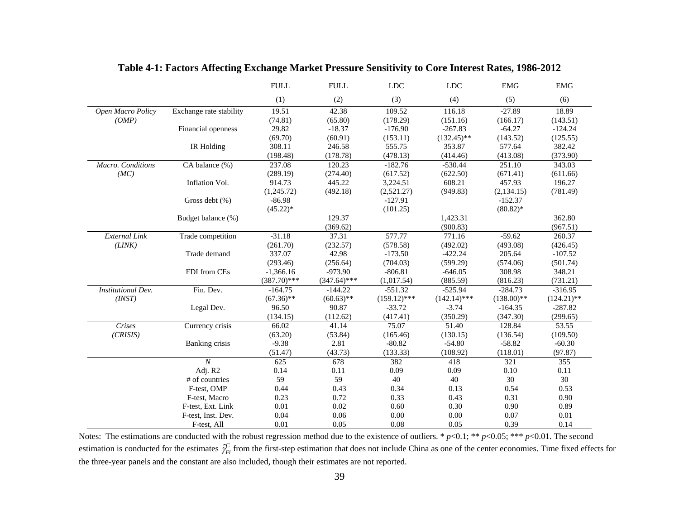|                      |                         | <b>FULL</b>         | <b>FULL</b>    | <b>LDC</b>     | <b>LDC</b>     | <b>EMG</b>   | <b>EMG</b>    |
|----------------------|-------------------------|---------------------|----------------|----------------|----------------|--------------|---------------|
|                      |                         | (1)                 | (2)            | (3)            | (4)            | (5)          | (6)           |
| Open Macro Policy    | Exchange rate stability | 19.51               | 42.38          | 109.52         | 116.18         | $-27.89$     | 18.89         |
| (OMP)                |                         | (74.81)             | (65.80)        | (178.29)       | (151.16)       | (166.17)     | (143.51)      |
|                      | Financial openness      | 29.82               | $-18.37$       | $-176.90$      | $-267.83$      | $-64.27$     | $-124.24$     |
|                      |                         | (69.70)             | (60.91)        | (153.11)       | $(132.45)$ **  | (143.52)     | (125.55)      |
|                      | IR Holding              | 308.11              | 246.58         | 555.75         | 353.87         | 577.64       | 382.42        |
|                      |                         | (198.48)            | (178.78)       | (478.13)       | (414.46)       | (413.08)     | (373.90)      |
| Macro. Conditions    | CA balance (%)          | $\overline{237.08}$ | 120.23         | $-182.76$      | $-530.44$      | 251.10       | 343.03        |
| (MC)                 |                         | (289.19)            | (274.40)       | (617.52)       | (622.50)       | (671.41)     | (611.66)      |
|                      | Inflation Vol.          | 914.73              | 445.22         | 3,224.51       | 608.21         | 457.93       | 196.27        |
|                      |                         | (1,245.72)          | (492.18)       | (2,521.27)     | (949.83)       | (2,134.15)   | (781.49)      |
|                      | Gross debt (%)          | $-86.98$            |                | $-127.91$      |                | $-152.37$    |               |
|                      |                         | $(45.22)^*$         |                | (101.25)       |                | $(80.82)*$   |               |
|                      | Budget balance (%)      |                     | 129.37         |                | 1,423.31       |              | 362.80        |
|                      |                         |                     | (369.62)       |                | (900.83)       |              | (967.51)      |
| <b>External Link</b> | Trade competition       | $-31.18$            | 37.31          | 577.77         | 771.16         | $-59.62$     | 260.37        |
| (LINK)               |                         | (261.70)            | (232.57)       | (578.58)       | (492.02)       | (493.08)     | (426.45)      |
|                      | Trade demand            | 337.07              | 42.98          | $-173.50$      | $-422.24$      | 205.64       | $-107.52$     |
|                      |                         | (293.46)            | (256.64)       | (704.03)       | (599.29)       | (574.06)     | (501.74)      |
|                      | FDI from CEs            | $-1,366.16$         | $-973.90$      | $-806.81$      | $-646.05$      | 308.98       | 348.21        |
|                      |                         | $(387.70)$ ***      | $(347.64)$ *** | (1,017.54)     | (885.59)       | (816.23)     | (731.21)      |
| Institutional Dev.   | Fin. Dev.               | $-164.75$           | $-144.22$      | $-551.32$      | $-525.94$      | $-284.73$    | $-316.95$     |
| (INST)               |                         | $(67.36)$ **        | $(60.63)$ **   | $(159.12)$ *** | $(142.14)$ *** | $(138.00)**$ | $(124.21)$ ** |
|                      | Legal Dev.              | 96.50               | 90.87          | $-33.72$       | $-3.74$        | $-164.35$    | $-287.82$     |
|                      |                         | (134.15)            | (112.62)       | (417.41)       | (350.29)       | (347.30)     | (299.65)      |
| Crises               | Currency crisis         | 66.02               | 41.14          | 75.07          | 51.40          | 128.84       | 53.55         |
| (CRISIS)             |                         | (63.20)             | (53.84)        | (165.46)       | (130.15)       | (136.54)     | (109.50)      |
|                      | Banking crisis          | $-9.38$             | 2.81           | $-80.82$       | $-54.80$       | $-58.82$     | $-60.30$      |
|                      |                         | (51.47)             | (43.73)        | (133.33)       | (108.92)       | (118.01)     | (97.87)       |
|                      | $\boldsymbol{N}$        | 625                 | 678            | 382            | 418            | 321          | 355           |
|                      | Adj. R2                 | 0.14                | 0.11           | 0.09           | 0.09           | 0.10         | 0.11          |
|                      | # of countries          | 59                  | 59             | 40             | 40             | 30           | 30            |
|                      | F-test, OMP             | 0.44                | 0.43           | 0.34           | 0.13           | 0.54         | 0.53          |
|                      | F-test, Macro           | 0.23                | 0.72           | 0.33           | 0.43           | 0.31         | 0.90          |
|                      | F-test, Ext. Link       | 0.01                | 0.02           | 0.60           | 0.30           | 0.90         | 0.89          |
|                      | F-test, Inst. Dev.      | 0.04                | 0.06           | 0.00           | 0.00           | 0.07         | 0.01          |
|                      | F-test, All             | 0.01                | 0.05           | 0.08           | 0.05           | 0.39         | 0.14          |

**Table 4-1: Factors Affecting Exchange Market Pressure Sensitivity to Core Interest Rates, 1986-2012** 

Notes: The estimations are conducted with the robust regression method due to the existence of outliers. \*  $p<0.1$ ; \*\*  $p<0.05$ ; \*\*\*  $p<0.01$ . The second estimation is conducted for the estimates  $\hat{\gamma}_{F_i}^C$  from the first-step estimation that does not include China as one of the center economies. Time fixed effects for the three-year panels and the constant are also included, though their estimates are not reported.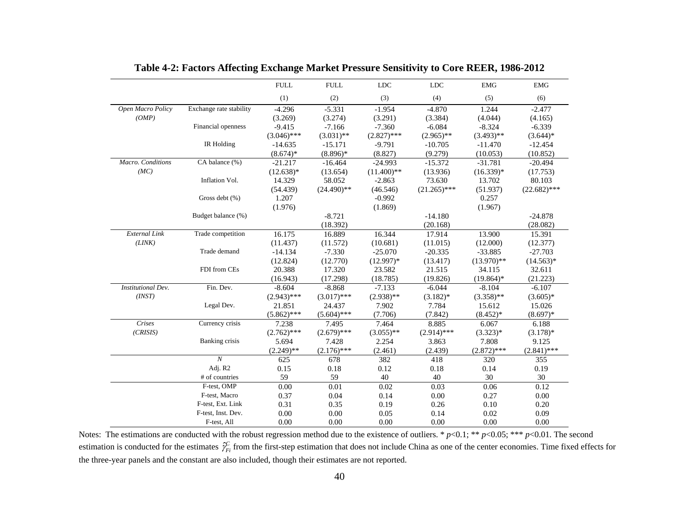|                      |                         | <b>FULL</b>   | <b>FULL</b>   | <b>LDC</b>    | <b>LDC</b>     | <b>EMG</b>    | <b>EMG</b>     |
|----------------------|-------------------------|---------------|---------------|---------------|----------------|---------------|----------------|
|                      |                         | (1)           | (2)           | (3)           | (4)            | (5)           | (6)            |
| Open Macro Policy    | Exchange rate stability | $-4.296$      | $-5.331$      | $-1.954$      | $-4.870$       | 1.244         | $-2.477$       |
| (OMP)                |                         | (3.269)       | (3.274)       | (3.291)       | (3.384)        | (4.044)       | (4.165)        |
|                      | Financial openness      | $-9.415$      | $-7.166$      | $-7.360$      | $-6.084$       | $-8.324$      | $-6.339$       |
|                      |                         | $(3.046)$ *** | $(3.031)$ **  | $(2.827)$ *** | $(2.965)$ **   | $(3.493)$ **  | $(3.644)*$     |
|                      | IR Holding              | $-14.635$     | $-15.171$     | $-9.791$      | $-10.705$      | $-11.470$     | $-12.454$      |
|                      |                         | $(8.674)*$    | $(8.896)*$    | (8.827)       | (9.279)        | (10.053)      | (10.852)       |
| Macro. Conditions    | CA balance (%)          | $-21.217$     | $-16.464$     | $-24.993$     | $-15.372$      | $-31.781$     | $-20.494$      |
| (MC)                 |                         | $(12.638)*$   | (13.654)      | $(11.400)$ ** | (13.936)       | $(16.339)*$   | (17.753)       |
|                      | Inflation Vol.          | 14.329        | 58.052        | $-2.863$      | 73.630         | 13.702        | 80.103         |
|                      |                         | (54.439)      | $(24.490)$ ** | (46.546)      | $(21.265)$ *** | (51.937)      | $(22.682)$ *** |
|                      | Gross debt (%)          | 1.207         |               | $-0.992$      |                | 0.257         |                |
|                      |                         | (1.976)       |               | (1.869)       |                | (1.967)       |                |
|                      | Budget balance (%)      |               | $-8.721$      |               | $-14.180$      |               | $-24.878$      |
|                      |                         |               | (18.392)      |               | (20.168)       |               | (28.082)       |
| <b>External Link</b> | Trade competition       | 16.175        | 16.889        | 16.344        | 17.914         | 13.900        | 15.391         |
| (LINK)               |                         | (11.437)      | (11.572)      | (10.681)      | (11.015)       | (12.000)      | (12.377)       |
|                      | Trade demand            | $-14.134$     | $-7.330$      | $-25.070$     | $-20.335$      | $-33.885$     | $-27.703$      |
|                      |                         | (12.824)      | (12.770)      | $(12.997)*$   | (13.417)       | $(13.970)$ ** | $(14.563)*$    |
|                      | FDI from CEs            | 20.388        | 17.320        | 23.582        | 21.515         | 34.115        | 32.611         |
|                      |                         | (16.943)      | (17.298)      | (18.785)      | (19.826)       | $(19.864)*$   | (21.223)       |
| Institutional Dev.   | Fin. Dev.               | $-8.604$      | $-8.868$      | $-7.133$      | $-6.044$       | $-8.104$      | $-6.107$       |
| (INST)               |                         | $(2.943)$ *** | $(3.017)$ *** | $(2.938)$ **  | $(3.182)*$     | $(3.358)$ **  | $(3.605)*$     |
|                      | Legal Dev.              | 21.851        | 24.437        | 7.902         | 7.784          | 15.612        | 15.026         |
|                      |                         | $(5.862)$ *** | $(5.604)$ *** | (7.706)       | (7.842)        | $(8.452)*$    | $(8.697)*$     |
| Crises               | Currency crisis         | 7.238         | 7.495         | 7.464         | 8.885          | 6.067         | 6.188          |
| (CRISIS)             |                         | $(2.762)$ *** | $(2.679)$ *** | $(3.055)$ **  | $(2.914)$ ***  | $(3.323)*$    | $(3.178)$ *    |
|                      | Banking crisis          | 5.694         | 7.428         | 2.254         | 3.863          | 7.808         | 9.125          |
|                      |                         | $(2.249)$ **  | $(2.176)$ *** | (2.461)       | (2.439)        | $(2.872)$ *** | $(2.841)$ ***  |
|                      | $\boldsymbol{N}$        | 625           | 678           | 382           | 418            | 320           | 355            |
|                      | Adj. R2                 | 0.15          | 0.18          | 0.12          | 0.18           | 0.14          | 0.19           |
|                      | # of countries          | 59            | 59            | 40            | 40             | 30            | 30             |
|                      | F-test, OMP             | 0.00          | 0.01          | 0.02          | 0.03           | 0.06          | 0.12           |
|                      | F-test, Macro           | 0.37          | 0.04          | 0.14          | 0.00           | 0.27          | 0.00           |
|                      | F-test, Ext. Link       | 0.31          | 0.35          | 0.19          | 0.26           | 0.10          | 0.20           |
|                      | F-test, Inst. Dev.      | 0.00          | 0.00          | 0.05          | 0.14           | 0.02          | 0.09           |
|                      | F-test, All             | 0.00          | 0.00          | 0.00          | 0.00           | 0.00          | $0.00\,$       |

**Table 4-2: Factors Affecting Exchange Market Pressure Sensitivity to Core REER, 1986-2012** 

Notes: The estimations are conducted with the robust regression method due to the existence of outliers. \* *p*<0.1; \*\* *p*<0.05; \*\*\* *p*<0.01. The second estimation is conducted for the estimates  $\hat{\gamma}_{F_i}^C$  from the first-step estimation that does not include China as one of the center economies. Time fixed effects for the three-year panels and the constant are also included, though their estimates are not reported.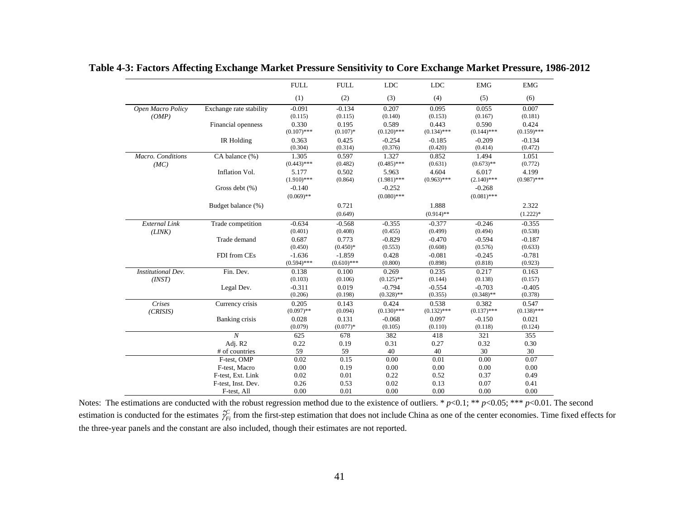|                                     |                         | <b>FULL</b>               | <b>FULL</b>               | <b>LDC</b>                | <b>LDC</b>             | <b>EMG</b>                | <b>EMG</b>             |
|-------------------------------------|-------------------------|---------------------------|---------------------------|---------------------------|------------------------|---------------------------|------------------------|
|                                     |                         | (1)                       | (2)                       | (3)                       | (4)                    | (5)                       | (6)                    |
| Open Macro Policy<br>(OMP)          | Exchange rate stability | $-0.091$<br>(0.115)       | $-0.134$<br>(0.115)       | 0.207<br>(0.140)          | 0.095<br>(0.153)       | 0.055<br>(0.167)          | 0.007<br>(0.181)       |
|                                     | Financial openness      | 0.330<br>$(0.107)$ ***    | 0.195<br>$(0.107)$ *      | 0.589<br>$(0.120)$ ***    | 0.443<br>$(0.134)$ *** | 0.590<br>$(0.144)$ ***    | 0.424<br>$(0.159)$ *** |
|                                     | IR Holding              | 0.363<br>(0.304)          | 0.425<br>(0.314)          | $-0.254$<br>(0.376)       | $-0.185$<br>(0.420)    | $-0.209$<br>(0.414)       | $-0.134$<br>(0.472)    |
| Macro. Conditions<br>(MC)           | CA balance (%)          | 1.305<br>$(0.443)$ ***    | 0.597<br>(0.482)          | 1.327<br>$(0.485)$ ***    | 0.852<br>(0.631)       | 1.494<br>$(0.673)$ **     | 1.051<br>(0.772)       |
|                                     | Inflation Vol.          | 5.177<br>$(1.910)$ ***    | 0.502<br>(0.864)          | 5.963<br>$(1.981)$ ***    | 4.604<br>$(0.963)$ *** | 6.017<br>$(2.140)$ ***    | 4.199<br>$(0.987)$ *** |
|                                     | Gross debt (%)          | $-0.140$<br>$(0.069)$ **  |                           | $-0.252$<br>$(0.080)$ *** |                        | $-0.268$<br>$(0.081)$ *** |                        |
|                                     | Budget balance (%)      |                           | 0.721<br>(0.649)          |                           | 1.888<br>$(0.914)$ **  |                           | 2.322<br>$(1.222)*$    |
| <b>External Link</b><br>(LINK)      | Trade competition       | $-0.634$<br>(0.401)       | $-0.568$<br>(0.408)       | $-0.355$<br>(0.455)       | $-0.377$<br>(0.499)    | $-0.246$<br>(0.494)       | $-0.355$<br>(0.538)    |
|                                     | Trade demand            | 0.687<br>(0.450)          | 0.773<br>$(0.450)*$       | $-0.829$<br>(0.553)       | $-0.470$<br>(0.608)    | $-0.594$<br>(0.576)       | $-0.187$<br>(0.633)    |
|                                     | FDI from CEs            | $-1.636$<br>$(0.594)$ *** | $-1.859$<br>$(0.610)$ *** | 0.428<br>(0.800)          | $-0.081$<br>(0.898)    | $-0.245$<br>(0.818)       | $-0.781$<br>(0.923)    |
| <b>Institutional Dev.</b><br>(INST) | Fin. Dev.               | 0.138<br>(0.103)          | 0.100<br>(0.106)          | 0.269<br>$(0.125)$ **     | 0.235<br>(0.144)       | 0.217<br>(0.138)          | 0.163<br>(0.157)       |
|                                     | Legal Dev.              | $-0.311$<br>(0.206)       | 0.019<br>(0.198)          | $-0.794$<br>$(0.328)$ **  | $-0.554$<br>(0.355)    | $-0.703$<br>$(0.348)$ **  | $-0.405$<br>(0.378)    |
| Crises<br>(CRISIS)                  | Currency crisis         | 0.205<br>$(0.097)$ **     | 0.143<br>(0.094)          | 0.424<br>$(0.130)$ ***    | 0.538<br>$(0.132)$ *** | 0.382<br>$(0.137)$ ***    | 0.547<br>$(0.138)$ *** |
|                                     | Banking crisis          | 0.028<br>(0.079)          | 0.131<br>$(0.077)*$       | $-0.068$<br>(0.105)       | 0.097<br>(0.110)       | $-0.150$<br>(0.118)       | 0.021<br>(0.124)       |
|                                     | $\overline{N}$          | 625                       | 678                       | 382                       | 418                    | 321                       | 355                    |
|                                     | Adj. R2                 | 0.22                      | 0.19                      | 0.31                      | 0.27                   | 0.32                      | 0.30                   |
|                                     | # of countries          | 59                        | 59                        | 40                        | 40                     | 30                        | 30                     |
|                                     | F-test, OMP             | 0.02                      | 0.15                      | 0.00                      | 0.01                   | 0.00                      | 0.07                   |
|                                     | F-test, Macro           | 0.00                      | 0.19                      | 0.00                      | 0.00                   | 0.00                      | 0.00                   |
|                                     | F-test, Ext. Link       | 0.02                      | 0.01                      | 0.22                      | 0.52                   | 0.37                      | 0.49                   |
|                                     | F-test, Inst. Dev.      | 0.26                      | 0.53                      | 0.02                      | 0.13                   | 0.07                      | 0.41                   |
|                                     | F-test, All             | 0.00                      | 0.01                      | 0.00                      | 0.00                   | 0.00                      | 0.00                   |

**Table 4-3: Factors Affecting Exchange Market Pressure Sensitivity to Core Exchange Market Pressure, 1986-2012** 

Notes: The estimations are conducted with the robust regression method due to the existence of outliers. \*  $p<0.1$ ; \*\*  $p<0.05$ ; \*\*\*  $p<0.01$ . The second estimation is conducted for the estimates  $\hat{\gamma}_{Fi}^C$  from the first-step estimation that does not include China as one of the center economies. Time fixed effects for the three-year panels and the constant are also included, though their estimates are not reported.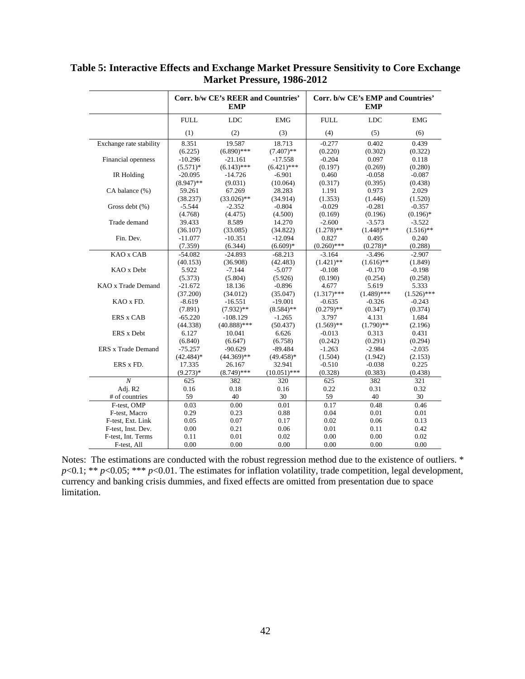|                           | Corr. b/w CE's REER and Countries'<br><b>EMP</b> |                |                | Corr. b/w CE's EMP and Countries'<br><b>EMP</b> |               |               |
|---------------------------|--------------------------------------------------|----------------|----------------|-------------------------------------------------|---------------|---------------|
|                           | <b>FULL</b>                                      | <b>LDC</b>     | <b>EMG</b>     | <b>FULL</b>                                     | <b>LDC</b>    | <b>EMG</b>    |
|                           | (1)                                              | (2)            | (3)            | (4)                                             | (5)           | (6)           |
| Exchange rate stability   | 8.351                                            | 19.587         | 18.713         | $-0.277$                                        | 0.402         | 0.439         |
|                           | (6.225)                                          | $(6.890)$ ***  | $(7.407)$ **   | (0.220)                                         | (0.302)       | (0.322)       |
| Financial openness        | $-10.296$                                        | $-21.161$      | $-17.558$      | $-0.204$                                        | 0.097         | 0.118         |
|                           | $(5.571)^*$                                      | $(6.143)$ ***  | $(6.421)$ ***  | (0.197)                                         | (0.269)       | (0.280)       |
| IR Holding                | $-20.095$                                        | -14.726        | $-6.901$       | 0.460                                           | $-0.058$      | $-0.087$      |
|                           | $(8.947)$ **                                     | (9.031)        | (10.064)       | (0.317)                                         | (0.395)       | (0.438)       |
| CA balance (%)            | 59.261                                           | 67.269         | 28.283         | 1.191                                           | 0.973         | 2.029         |
|                           | (38.237)                                         | $(33.026)$ **  | (34.914)       | (1.353)                                         | (1.446)       | (1.520)       |
| Gross debt (%)            | $-5.544$                                         | $-2.352$       | $-0.804$       | $-0.029$                                        | $-0.281$      | $-0.357$      |
|                           | (4.768)                                          | (4.475)        | (4.500)        | (0.169)                                         | (0.196)       | $(0.196)$ *   |
| Trade demand              | 39.433                                           | 8.589          | 14.270         | $-2.600$                                        | $-3.573$      | $-3.522$      |
|                           | (36.107)                                         | (33.085)       | (34.822)       | $(1.278)$ **                                    | $(1.448)$ **  | $(1.516)$ **  |
| Fin. Dev.                 | $-11.077$                                        | $-10.351$      | $-12.094$      | 0.827                                           | 0.495         | 0.240         |
|                           | (7.359)                                          | (6.344)        | $(6.609)*$     | $(0.260)$ ***                                   | $(0.278)*$    | (0.288)       |
| KAO x CAB                 | $-54.082$                                        | $-24.893$      | $-68.213$      | $-3.164$                                        | $-3.496$      | $-2.907$      |
|                           | (40.153)                                         | (36.908)       | (42.483)       | $(1.421)$ **                                    | $(1.616)$ **  | (1.849)       |
| KAO x Debt                | 5.922                                            | $-7.144$       | $-5.077$       | $-0.108$                                        | $-0.170$      | $-0.198$      |
|                           | (5.373)                                          | (5.804)        | (5.926)        | (0.190)                                         | (0.254)       | (0.258)       |
| KAO x Trade Demand        | $-21.672$                                        | 18.136         | $-0.896$       | 4.677                                           | 5.619         | 5.333         |
|                           | (37.200)                                         | (34.012)       | (35.047)       | $(1.317)$ ***                                   | $(1.489)$ *** | $(1.526)$ *** |
| KAO x FD.                 | $-8.619$                                         | $-16.551$      | $-19.001$      | $-0.635$                                        | $-0.326$      | $-0.243$      |
|                           | (7.891)                                          | $(7.932)$ **   | $(8.584)$ **   | $(0.279)$ **                                    | (0.347)       | (0.374)       |
| <b>ERS x CAB</b>          | $-65.220$                                        | $-108.129$     | $-1.265$       | 3.797                                           | 4.131         | 1.684         |
|                           | (44.338)                                         | $(40.888)$ *** | (50.437)       | $(1.569)$ **                                    | $(1.790)$ **  | (2.196)       |
| ERS x Debt                | 6.127                                            | 10.041         | 6.626          | $-0.013$                                        | 0.313         | 0.431         |
|                           | (6.840)                                          | (6.647)        | (6.758)        | (0.242)                                         | (0.291)       | (0.294)       |
| <b>ERS x Trade Demand</b> | $-75.257$                                        | $-90.629$      | $-89.484$      | $-1.263$                                        | $-2.984$      | $-2.035$      |
|                           | $(42.484)*$                                      | $(44.369)$ **  | $(49.458)*$    | (1.504)                                         | (1.942)       | (2.153)       |
| ERS x FD.                 | 17.335                                           | 26.167         | 32.941         | $-0.510$                                        | $-0.038$      | 0.225         |
|                           | $(9.273)*$                                       | $(8.749)$ ***  | $(10.051)$ *** | (0.328)                                         | (0.383)       | (0.438)       |
| $\overline{N}$            | 625                                              | 382            | 320            | 625                                             | 382           | 321           |
| Adj. R2                   | 0.16                                             | 0.18           | 0.16           | 0.22                                            | 0.31          | 0.32          |
| # of countries            | 59                                               | 40             | 30             | 59                                              | 40            | 30            |
| F-test, OMP               | 0.03                                             | 0.00           | 0.01           | 0.17                                            | 0.48          | 0.46          |
| F-test, Macro             | 0.29                                             | 0.23           | 0.88           | 0.04                                            | 0.01          | 0.01          |
| F-test, Ext. Link         | 0.05                                             | 0.07           | 0.17           | 0.02                                            | 0.06          | 0.13          |
| F-test, Inst. Dev.        | 0.00                                             | 0.21           | 0.06           | 0.01                                            | 0.11          | 0.42          |
| F-test, Int. Terms        | 0.11                                             | 0.01           | 0.02           | 0.00                                            | 0.00          | 0.02          |
| F-test, All               | 0.00                                             | 0.00           | 0.00           | 0.00                                            | 0.00          | 0.00          |

# **Table 5: Interactive Effects and Exchange Market Pressure Sensitivity to Core Exchange Market Pressure, 1986-2012**

Notes: The estimations are conducted with the robust regression method due to the existence of outliers. \* *p*<0.1; \*\* *p*<0.05; \*\*\* *p*<0.01. The estimates for inflation volatility, trade competition, legal development, currency and banking crisis dummies, and fixed effects are omitted from presentation due to space limitation.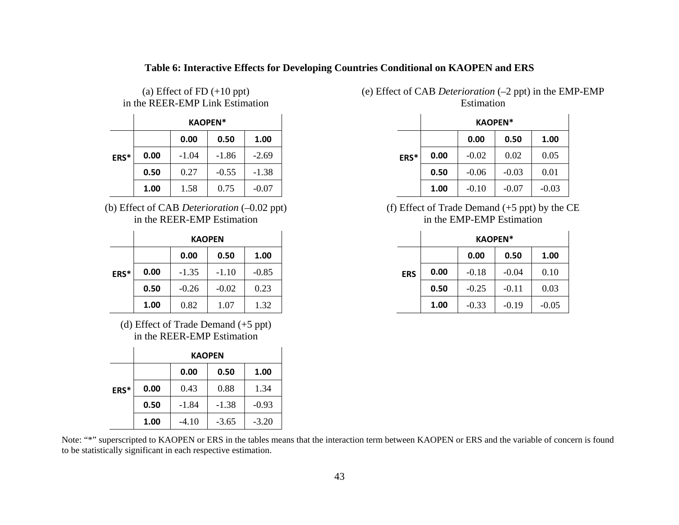# **Table 6: Interactive Effects for Developing Countries Conditional on KAOPEN and ERS**

(a) Effect of FD  $(+10$  ppt) in the REER-EMP Link Estimation

|      | <b>KAOPEN*</b> |         |         |         |  |
|------|----------------|---------|---------|---------|--|
|      |                | 0.00    | 0.50    | 1.00    |  |
| ERS* | 0.00           | $-1.04$ | $-1.86$ | $-2.69$ |  |
|      | 0.50           | 0.27    | $-0.55$ | $-1.38$ |  |
|      | 1.00           | 1.58    | 0.75    | $-0.07$ |  |

(b) Effect of CAB *Deterioration* (–0.02 ppt) in the REER-EMP Estimation

|      | <b>KAOPEN</b> |         |         |         |  |
|------|---------------|---------|---------|---------|--|
|      |               | 0.00    | 0.50    | 1.00    |  |
| ERS* | 0.00          | $-1.35$ | $-1.10$ | $-0.85$ |  |
|      | 0.50          | $-0.26$ | $-0.02$ | 0.23    |  |
|      | 1.00          | 0.82    | 1.07    | 1.32    |  |

(d) Effect of Trade Demand (+5 ppt) in the REER-EMP Estimation

|      | <b>KAOPEN</b> |         |         |         |  |
|------|---------------|---------|---------|---------|--|
|      |               | 0.00    | 0.50    | 1.00    |  |
| ERS* | 0.00          | 0.43    | 0.88    | 1.34    |  |
|      | 0.50          | $-1.84$ | $-1.38$ | $-0.93$ |  |
|      | 1.00          | -4.10   | $-3.65$ | $-3.20$ |  |

(e) Effect of CAB *Deterioration* (–2 ppt) in the EMP-EMP Estimation

|             | <b>KAOPEN*</b> |         |         |         |  |
|-------------|----------------|---------|---------|---------|--|
|             |                | 0.00    | 0.50    | 1.00    |  |
| <b>ERS*</b> | 0.00           | $-0.02$ | 0.02    | 0.05    |  |
|             | 0.50           | $-0.06$ | $-0.03$ | 0.01    |  |
|             | 1.00           | $-0.10$ | $-0.07$ | $-0.03$ |  |

(f) Effect of Trade Demand (+5 ppt) by the CE in the EMP-EMP Estimation

|            | <b>KAOPEN*</b> |         |         |         |  |
|------------|----------------|---------|---------|---------|--|
|            |                | 0.00    | 0.50    | 1.00    |  |
| <b>ERS</b> | 0.00           | $-0.18$ | $-0.04$ | 0.10    |  |
|            | 0.50           | $-0.25$ | $-0.11$ | 0.03    |  |
|            | 1.00           | $-0.33$ | $-0.19$ | $-0.05$ |  |

Note: "\*" superscripted to KAOPEN or ERS in the tables means that the interaction term between KAOPEN or ERS and the variable of concern is found to be statistically significant in each respective estimation.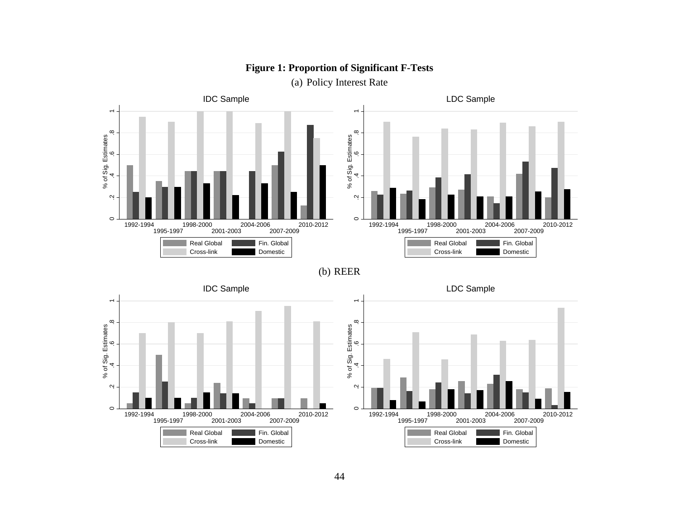

# **Figure 1: Proportion of Significant F-Tests**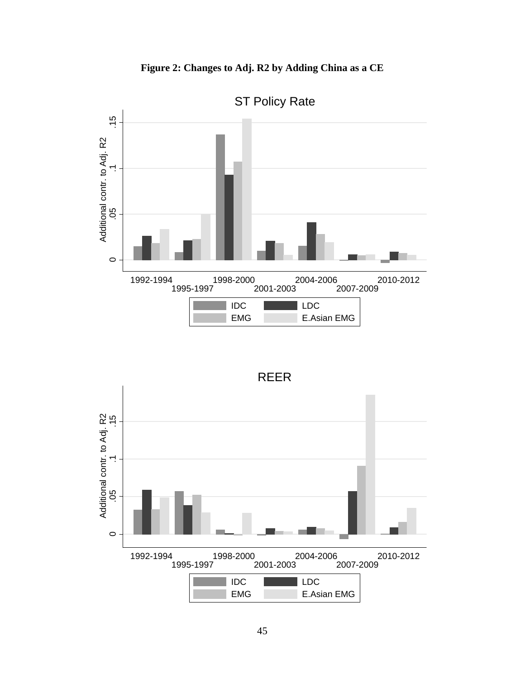



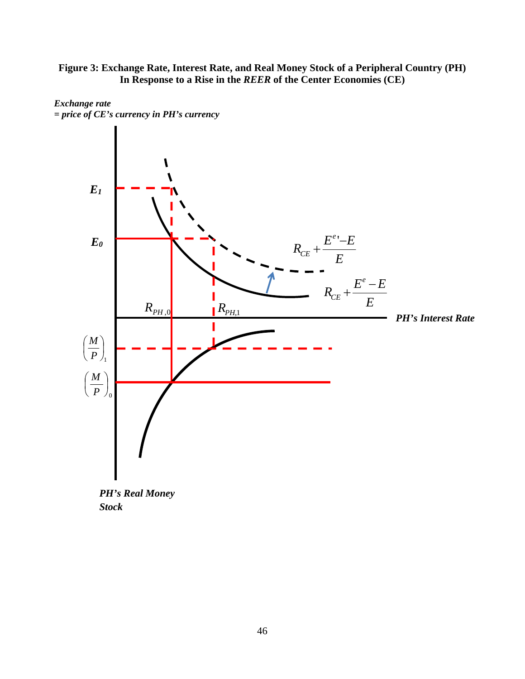# **Figure 3: Exchange Rate, Interest Rate, and Real Money Stock of a Peripheral Country (PH) In Response to a Rise in the** *REER* **of the Center Economies (CE)**



*Exchange rate = price of CE's currency in PH's currency* 

*PH's Real Money Stock*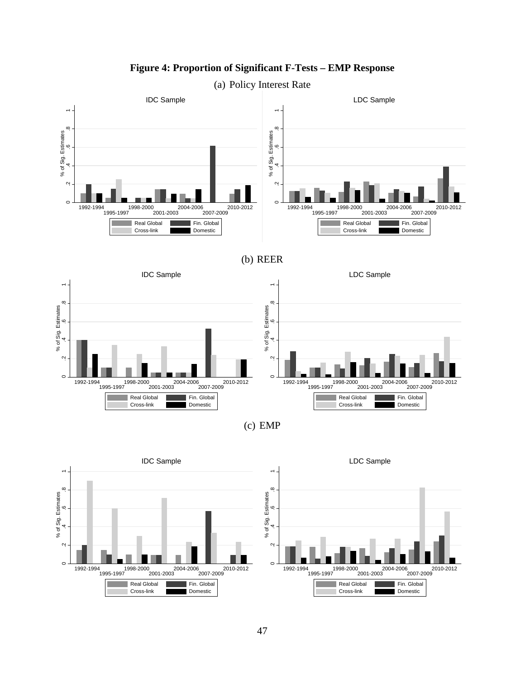

# **Figure 4: Proportion of Significant F-Tests – EMP Response**



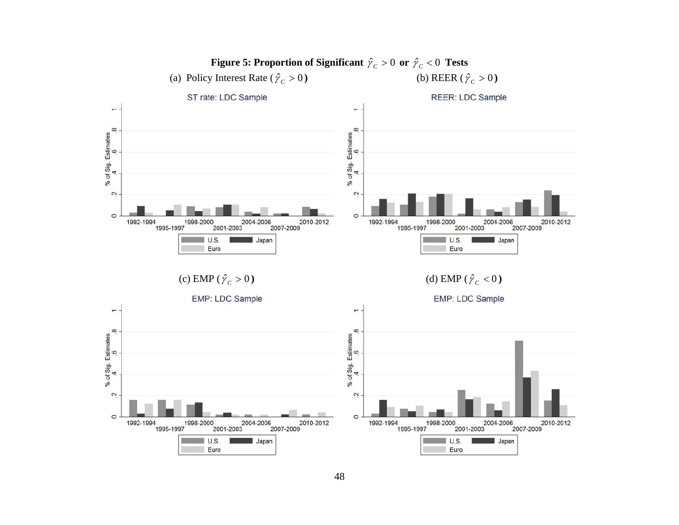

# **Figure 5: Proportion of Significant**  $\hat{\gamma}_c > 0$  or  $\hat{\gamma}_c < 0$  Tests